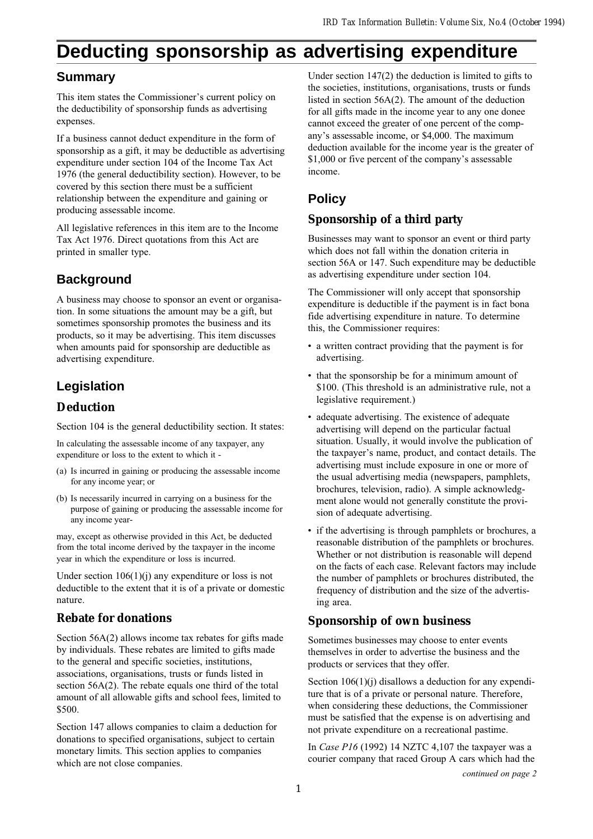# **Deducting sponsorship as advertising expenditure**

## **Summary**

This item states the Commissioner's current policy on the deductibility of sponsorship funds as advertising expenses.

If a business cannot deduct expenditure in the form of sponsorship as a gift, it may be deductible as advertising expenditure under section 104 of the Income Tax Act 1976 (the general deductibility section). However, to be covered by this section there must be a sufficient relationship between the expenditure and gaining or producing assessable income.

All legislative references in this item are to the Income Tax Act 1976. Direct quotations from this Act are printed in smaller type.

# **Background**

A business may choose to sponsor an event or organisation. In some situations the amount may be a gift, but sometimes sponsorship promotes the business and its products, so it may be advertising. This item discusses when amounts paid for sponsorship are deductible as advertising expenditure.

# **Legislation**

### **Deduction**

Section 104 is the general deductibility section. It states:

In calculating the assessable income of any taxpayer, any expenditure or loss to the extent to which it -

- (a) Is incurred in gaining or producing the assessable income for any income year; or
- (b) Is necessarily incurred in carrying on a business for the purpose of gaining or producing the assessable income for any income year-

may, except as otherwise provided in this Act, be deducted from the total income derived by the taxpayer in the income year in which the expenditure or loss is incurred.

Under section  $106(1)(i)$  any expenditure or loss is not deductible to the extent that it is of a private or domestic nature.

### **Rebate for donations**

Section 56A(2) allows income tax rebates for gifts made by individuals. These rebates are limited to gifts made to the general and specific societies, institutions, associations, organisations, trusts or funds listed in section 56A(2). The rebate equals one third of the total amount of all allowable gifts and school fees, limited to \$500.

Section 147 allows companies to claim a deduction for donations to specified organisations, subject to certain monetary limits. This section applies to companies which are not close companies.

Under section 147(2) the deduction is limited to gifts to the societies, institutions, organisations, trusts or funds listed in section 56A(2). The amount of the deduction for all gifts made in the income year to any one donee cannot exceed the greater of one percent of the company's assessable income, or \$4,000. The maximum deduction available for the income year is the greater of \$1,000 or five percent of the company's assessable income.

# **Policy**

## **Sponsorship of a third party**

Businesses may want to sponsor an event or third party which does not fall within the donation criteria in section 56A or 147. Such expenditure may be deductible as advertising expenditure under section 104.

The Commissioner will only accept that sponsorship expenditure is deductible if the payment is in fact bona fide advertising expenditure in nature. To determine this, the Commissioner requires:

- a written contract providing that the payment is for advertising.
- that the sponsorship be for a minimum amount of \$100. (This threshold is an administrative rule, not a legislative requirement.)
- adequate advertising. The existence of adequate advertising will depend on the particular factual situation. Usually, it would involve the publication of the taxpayer's name, product, and contact details. The advertising must include exposure in one or more of the usual advertising media (newspapers, pamphlets, brochures, television, radio). A simple acknowledgment alone would not generally constitute the provision of adequate advertising.
- if the advertising is through pamphlets or brochures, a reasonable distribution of the pamphlets or brochures. Whether or not distribution is reasonable will depend on the facts of each case. Relevant factors may include the number of pamphlets or brochures distributed, the frequency of distribution and the size of the advertising area.

### **Sponsorship of own business**

Sometimes businesses may choose to enter events themselves in order to advertise the business and the products or services that they offer.

Section 106(1)(j) disallows a deduction for any expenditure that is of a private or personal nature. Therefore, when considering these deductions, the Commissioner must be satisfied that the expense is on advertising and not private expenditure on a recreational pastime.

In Case  $P16$  (1992) 14 NZTC 4,107 the taxpayer was a courier company that raced Group A cars which had the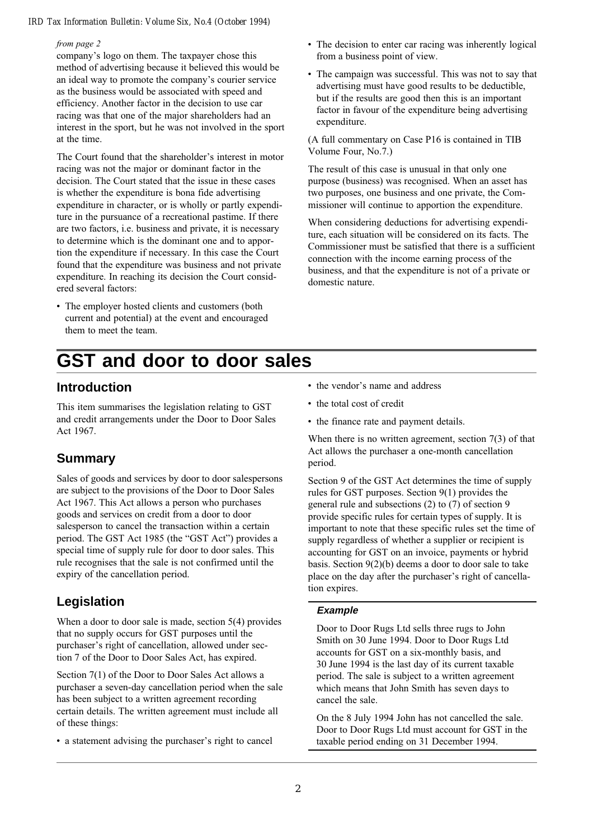#### from page 2

company's logo on them. The taxpayer chose this method of advertising because it believed this would be an ideal way to promote the company's courier service as the business would be associated with speed and efficiency. Another factor in the decision to use car racing was that one of the major shareholders had an interest in the sport, but he was not involved in the sport at the time.

The Court found that the shareholder's interest in motor racing was not the major or dominant factor in the decision. The Court stated that the issue in these cases is whether the expenditure is bona fide advertising expenditure in character, or is wholly or partly expenditure in the pursuance of a recreational pastime. If there are two factors, i.e. business and private, it is necessary to determine which is the dominant one and to apportion the expenditure if necessary. In this case the Court found that the expenditure was business and not private expenditure. In reaching its decision the Court considered several factors:

- The employer hosted clients and customers (both current and potential) at the event and encouraged them to meet the team.
- **GST and door to door sales**

### **Introduction**

This item summarises the legislation relating to GST and credit arrangements under the Door to Door Sales Act 1967.

## **Summary**

Sales of goods and services by door to door salespersons are subject to the provisions of the Door to Door Sales Act 1967. This Act allows a person who purchases goods and services on credit from a door to door salesperson to cancel the transaction within a certain period. The GST Act 1985 (the "GST Act") provides a special time of supply rule for door to door sales. This rule recognises that the sale is not confirmed until the expiry of the cancellation period.

# **Legislation**

When a door to door sale is made, section 5(4) provides that no supply occurs for GST purposes until the purchaser's right of cancellation, allowed under section 7 of the Door to Door Sales Act, has expired.

Section 7(1) of the Door to Door Sales Act allows a purchaser a seven-day cancellation period when the sale has been subject to a written agreement recording certain details. The written agreement must include all of these things:

• a statement advising the purchaser's right to cancel

- The decision to enter car racing was inherently logical from a business point of view.
- The campaign was successful. This was not to say that advertising must have good results to be deductible, but if the results are good then this is an important factor in favour of the expenditure being advertising expenditure.

(A full commentary on Case P16 is contained in TIB Volume Four, No.7.)

The result of this case is unusual in that only one purpose (business) was recognised. When an asset has two purposes, one business and one private, the Commissioner will continue to apportion the expenditure.

When considering deductions for advertising expenditure, each situation will be considered on its facts. The Commissioner must be satisfied that there is a sufficient connection with the income earning process of the business, and that the expenditure is not of a private or domestic nature.

- the vendor's name and address
- the total cost of credit
- the finance rate and payment details.

When there is no written agreement, section 7(3) of that Act allows the purchaser a one-month cancellation period.

Section 9 of the GST Act determines the time of supply rules for GST purposes. Section 9(1) provides the general rule and subsections (2) to (7) of section 9 provide specific rules for certain types of supply. It is important to note that these specific rules set the time of supply regardless of whether a supplier or recipient is accounting for GST on an invoice, payments or hybrid basis. Section 9(2)(b) deems a door to door sale to take place on the day after the purchaser's right of cancellation expires.

#### **Example**

Door to Door Rugs Ltd sells three rugs to John Smith on 30 June 1994. Door to Door Rugs Ltd accounts for GST on a six-monthly basis, and 30 June 1994 is the last day of its current taxable period. The sale is subject to a written agreement which means that John Smith has seven days to cancel the sale.

On the 8 July 1994 John has not cancelled the sale. Door to Door Rugs Ltd must account for GST in the taxable period ending on 31 December 1994.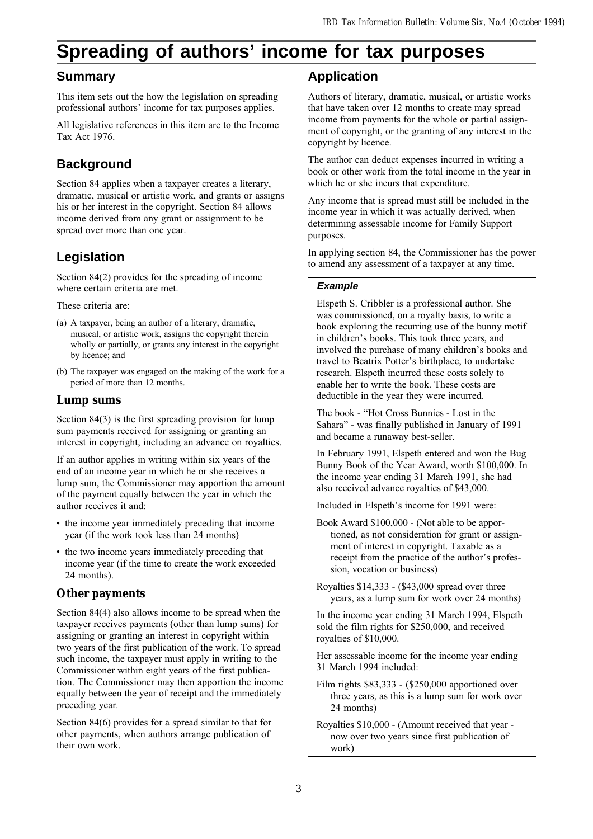# **Spreading of authors' income for tax purposes**

### **Summary**

This item sets out the how the legislation on spreading professional authors' income for tax purposes applies.

All legislative references in this item are to the Income Tax Act 1976.

## **Background**

Section 84 applies when a taxpayer creates a literary, dramatic, musical or artistic work, and grants or assigns his or her interest in the copyright. Section 84 allows income derived from any grant or assignment to be spread over more than one year.

# **Legislation**

Section 84(2) provides for the spreading of income where certain criteria are met.

These criteria are:

- (a) A taxpayer, being an author of a literary, dramatic, musical, or artistic work, assigns the copyright therein wholly or partially, or grants any interest in the copyright by licence; and
- (b) The taxpayer was engaged on the making of the work for a period of more than 12 months.

### **Lump sums**

Section 84(3) is the first spreading provision for lump sum payments received for assigning or granting an interest in copyright, including an advance on royalties.

If an author applies in writing within six years of the end of an income year in which he or she receives a lump sum, the Commissioner may apportion the amount of the payment equally between the year in which the author receives it and:

- the income year immediately preceding that income year (if the work took less than 24 months)
- the two income years immediately preceding that income year (if the time to create the work exceeded 24 months).

### **Other payments**

Section 84(4) also allows income to be spread when the taxpayer receives payments (other than lump sums) for assigning or granting an interest in copyright within two years of the first publication of the work. To spread such income, the taxpayer must apply in writing to the Commissioner within eight years of the first publication. The Commissioner may then apportion the income equally between the year of receipt and the immediately preceding year.

Section 84(6) provides for a spread similar to that for other payments, when authors arrange publication of their own work.

## **Application**

Authors of literary, dramatic, musical, or artistic works that have taken over 12 months to create may spread income from payments for the whole or partial assignment of copyright, or the granting of any interest in the copyright by licence.

The author can deduct expenses incurred in writing a book or other work from the total income in the year in which he or she incurs that expenditure.

Any income that is spread must still be included in the income year in which it was actually derived, when determining assessable income for Family Support purposes.

In applying section 84, the Commissioner has the power to amend any assessment of a taxpayer at any time.

### **Example**

Elspeth S. Cribbler is a professional author. She was commissioned, on a royalty basis, to write a book exploring the recurring use of the bunny motif in children's books. This took three years, and involved the purchase of many children's books and travel to Beatrix Potter's birthplace, to undertake research. Elspeth incurred these costs solely to enable her to write the book. These costs are deductible in the year they were incurred.

The book - "Hot Cross Bunnies - Lost in the Sahara" - was finally published in January of 1991 and became a runaway best-seller.

In February 1991, Elspeth entered and won the Bug Bunny Book of the Year Award, worth \$100,000. In the income year ending 31 March 1991, she had also received advance royalties of \$43,000.

Included in Elspeth's income for 1991 were:

Book Award \$100,000 - (Not able to be apportioned, as not consideration for grant or assignment of interest in copyright. Taxable as a receipt from the practice of the author's profession, vocation or business)

Royalties \$14,333 - (\$43,000 spread over three years, as a lump sum for work over 24 months)

In the income year ending 31 March 1994, Elspeth sold the film rights for \$250,000, and received royalties of \$10,000.

Her assessable income for the income year ending 31 March 1994 included:

Film rights \$83,333 - (\$250,000 apportioned over three years, as this is a lump sum for work over 24 months)

Royalties \$10,000 - (Amount received that year now over two years since first publication of work)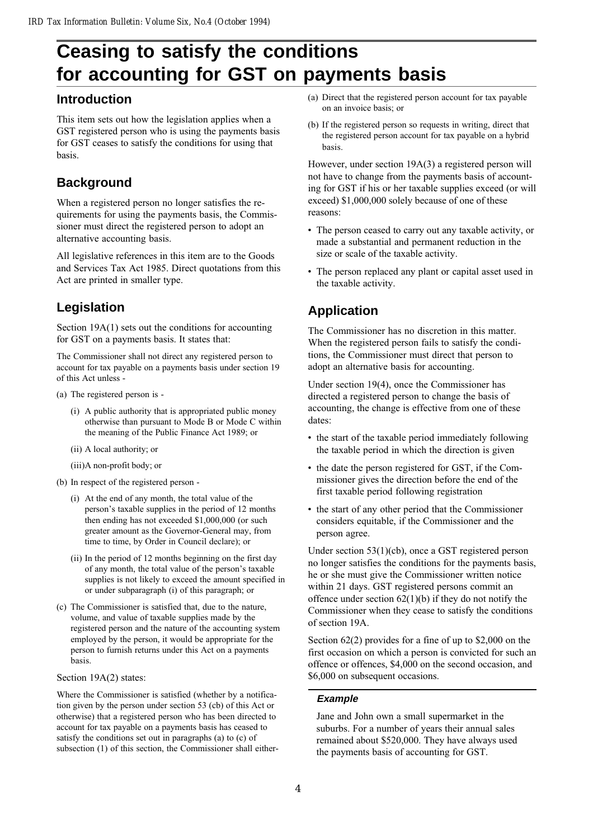# **Ceasing to satisfy the conditions for accounting for GST on payments basis**

### **Introduction**

This item sets out how the legislation applies when a GST registered person who is using the payments basis for GST ceases to satisfy the conditions for using that basis.

# **Background**

When a registered person no longer satisfies the requirements for using the payments basis, the Commissioner must direct the registered person to adopt an alternative accounting basis.

All legislative references in this item are to the Goods and Services Tax Act 1985. Direct quotations from this Act are printed in smaller type.

# **Legislation**

Section 19A(1) sets out the conditions for accounting for GST on a payments basis. It states that:

The Commissioner shall not direct any registered person to account for tax payable on a payments basis under section 19 of this Act unless -

- (a) The registered person is
	- (i) A public authority that is appropriated public money otherwise than pursuant to Mode B or Mode C within the meaning of the Public Finance Act 1989; or
	- (ii) A local authority; or
	- (iii)A non-profit body; or
- (b) In respect of the registered person
	- (i) At the end of any month, the total value of the person's taxable supplies in the period of 12 months then ending has not exceeded \$1,000,000 (or such greater amount as the Governor-General may, from time to time, by Order in Council declare); or
	- (ii) In the period of 12 months beginning on the first day of any month, the total value of the person's taxable supplies is not likely to exceed the amount specified in or under subparagraph (i) of this paragraph; or
- (c) The Commissioner is satisfied that, due to the nature, volume, and value of taxable supplies made by the registered person and the nature of the accounting system employed by the person, it would be appropriate for the person to furnish returns under this Act on a payments basis.

#### Section 19A(2) states:

Where the Commissioner is satisfied (whether by a notification given by the person under section 53 (cb) of this Act or otherwise) that a registered person who has been directed to account for tax payable on a payments basis has ceased to satisfy the conditions set out in paragraphs (a) to (c) of subsection (1) of this section, the Commissioner shall either-

- (a) Direct that the registered person account for tax payable on an invoice basis; or
- (b) If the registered person so requests in writing, direct that the registered person account for tax payable on a hybrid basis.

However, under section 19A(3) a registered person will not have to change from the payments basis of accounting for GST if his or her taxable supplies exceed (or will exceed) \$1,000,000 solely because of one of these reasons:

- The person ceased to carry out any taxable activity, or made a substantial and permanent reduction in the size or scale of the taxable activity.
- The person replaced any plant or capital asset used in the taxable activity.

# **Application**

The Commissioner has no discretion in this matter. When the registered person fails to satisfy the conditions, the Commissioner must direct that person to adopt an alternative basis for accounting.

Under section 19(4), once the Commissioner has directed a registered person to change the basis of accounting, the change is effective from one of these dates:

- the start of the taxable period immediately following the taxable period in which the direction is given
- the date the person registered for GST, if the Commissioner gives the direction before the end of the first taxable period following registration
- the start of any other period that the Commissioner considers equitable, if the Commissioner and the person agree.

Under section 53(1)(cb), once a GST registered person no longer satisfies the conditions for the payments basis, he or she must give the Commissioner written notice within 21 days. GST registered persons commit an offence under section  $62(1)(b)$  if they do not notify the Commissioner when they cease to satisfy the conditions of section 19A.

Section 62(2) provides for a fine of up to \$2,000 on the first occasion on which a person is convicted for such an offence or offences, \$4,000 on the second occasion, and \$6,000 on subsequent occasions.

#### **Example**

Jane and John own a small supermarket in the suburbs. For a number of years their annual sales remained about \$520,000. They have always used the payments basis of accounting for GST.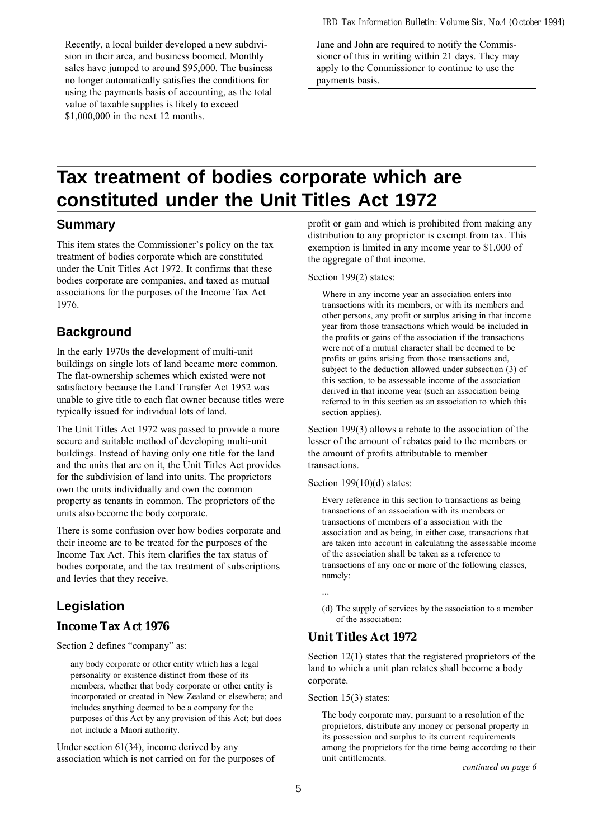Recently, a local builder developed a new subdivision in their area, and business boomed. Monthly sales have jumped to around \$95,000. The business no longer automatically satisfies the conditions for using the payments basis of accounting, as the total value of taxable supplies is likely to exceed \$1,000,000 in the next 12 months.

Jane and John are required to notify the Commissioner of this in writing within 21 days. They may apply to the Commissioner to continue to use the payments basis.

# **Tax treatment of bodies corporate which are constituted under the Unit Titles Act 1972**

### **Summary**

This item states the Commissioner's policy on the tax treatment of bodies corporate which are constituted under the Unit Titles Act 1972. It confirms that these bodies corporate are companies, and taxed as mutual associations for the purposes of the Income Tax Act 1976.

## **Background**

In the early 1970s the development of multi-unit buildings on single lots of land became more common. The flat-ownership schemes which existed were not satisfactory because the Land Transfer Act 1952 was unable to give title to each flat owner because titles were typically issued for individual lots of land.

The Unit Titles Act 1972 was passed to provide a more secure and suitable method of developing multi-unit buildings. Instead of having only one title for the land and the units that are on it, the Unit Titles Act provides for the subdivision of land into units. The proprietors own the units individually and own the common property as tenants in common. The proprietors of the units also become the body corporate.

There is some confusion over how bodies corporate and their income are to be treated for the purposes of the Income Tax Act. This item clarifies the tax status of bodies corporate, and the tax treatment of subscriptions and levies that they receive.

# **Legislation**

### **Income Tax Act 1976**

Section 2 defines "company" as:

any body corporate or other entity which has a legal personality or existence distinct from those of its members, whether that body corporate or other entity is incorporated or created in New Zealand or elsewhere; and includes anything deemed to be a company for the purposes of this Act by any provision of this Act; but does not include a Maori authority.

Under section 61(34), income derived by any association which is not carried on for the purposes of profit or gain and which is prohibited from making any distribution to any proprietor is exempt from tax. This exemption is limited in any income year to \$1,000 of the aggregate of that income.

#### Section 199(2) states:

Where in any income year an association enters into transactions with its members, or with its members and other persons, any profit or surplus arising in that income year from those transactions which would be included in the profits or gains of the association if the transactions were not of a mutual character shall be deemed to be profits or gains arising from those transactions and, subject to the deduction allowed under subsection (3) of this section, to be assessable income of the association derived in that income year (such an association being referred to in this section as an association to which this section applies).

Section 199(3) allows a rebate to the association of the lesser of the amount of rebates paid to the members or the amount of profits attributable to member transactions.

#### Section 199(10)(d) states:

Every reference in this section to transactions as being transactions of an association with its members or transactions of members of a association with the association and as being, in either case, transactions that are taken into account in calculating the assessable income of the association shall be taken as a reference to transactions of any one or more of the following classes, namely:

- ...
- (d) The supply of services by the association to a member of the association:

### **Unit Titles Act 1972**

Section 12(1) states that the registered proprietors of the land to which a unit plan relates shall become a body corporate.

#### Section 15(3) states:

The body corporate may, pursuant to a resolution of the proprietors, distribute any money or personal property in its possession and surplus to its current requirements among the proprietors for the time being according to their unit entitlements.

continued on page 6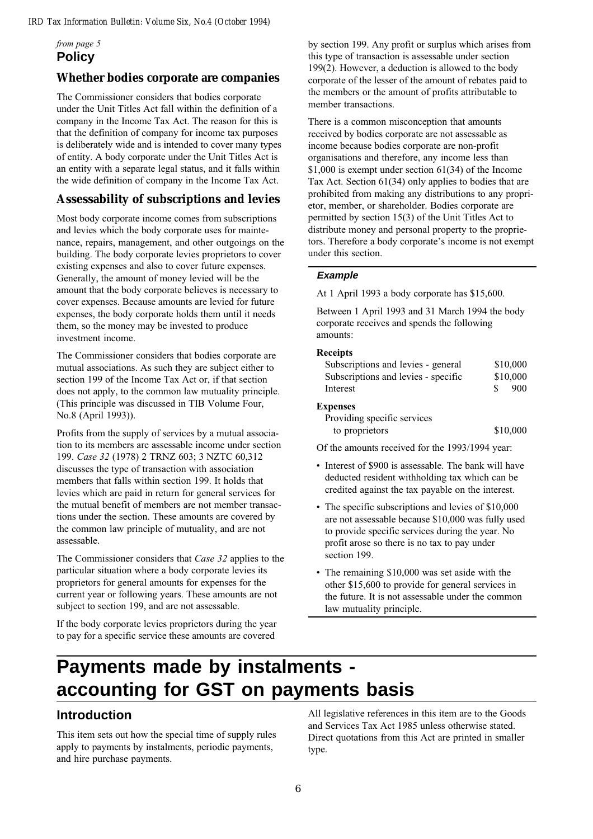**Policy** from page 5

### **Whether bodies corporate are companies**

The Commissioner considers that bodies corporate under the Unit Titles Act fall within the definition of a company in the Income Tax Act. The reason for this is that the definition of company for income tax purposes is deliberately wide and is intended to cover many types of entity. A body corporate under the Unit Titles Act is an entity with a separate legal status, and it falls within the wide definition of company in the Income Tax Act.

### **Assessability of subscriptions and levies**

Most body corporate income comes from subscriptions and levies which the body corporate uses for maintenance, repairs, management, and other outgoings on the building. The body corporate levies proprietors to cover existing expenses and also to cover future expenses. Generally, the amount of money levied will be the amount that the body corporate believes is necessary to cover expenses. Because amounts are levied for future expenses, the body corporate holds them until it needs them, so the money may be invested to produce investment income.

The Commissioner considers that bodies corporate are mutual associations. As such they are subject either to section 199 of the Income Tax Act or, if that section does not apply, to the common law mutuality principle. (This principle was discussed in TIB Volume Four, No.8 (April 1993)).

Profits from the supply of services by a mutual association to its members are assessable income under section 199. Case 32 (1978) 2 TRNZ 603; 3 NZTC 60,312 discusses the type of transaction with association members that falls within section 199. It holds that levies which are paid in return for general services for the mutual benefit of members are not member transactions under the section. These amounts are covered by the common law principle of mutuality, and are not assessable.

The Commissioner considers that Case 32 applies to the particular situation where a body corporate levies its proprietors for general amounts for expenses for the current year or following years. These amounts are not subject to section 199, and are not assessable.

If the body corporate levies proprietors during the year to pay for a specific service these amounts are covered

by section 199. Any profit or surplus which arises from this type of transaction is assessable under section 199(2). However, a deduction is allowed to the body corporate of the lesser of the amount of rebates paid to the members or the amount of profits attributable to member transactions.

There is a common misconception that amounts received by bodies corporate are not assessable as income because bodies corporate are non-profit organisations and therefore, any income less than \$1,000 is exempt under section 61(34) of the Income Tax Act. Section 61(34) only applies to bodies that are prohibited from making any distributions to any proprietor, member, or shareholder. Bodies corporate are permitted by section 15(3) of the Unit Titles Act to distribute money and personal property to the proprietors. Therefore a body corporate's income is not exempt under this section.

#### **Example**

At 1 April 1993 a body corporate has \$15,600.

Between 1 April 1993 and 31 March 1994 the body corporate receives and spends the following amounts:

#### Receipts

| Subscriptions and levies - general  | \$10,000 |
|-------------------------------------|----------|
| Subscriptions and levies - specific | \$10,000 |
| Interest                            | 900      |

#### Expenses

| Providing specific services |          |
|-----------------------------|----------|
| to proprietors              | \$10,000 |

Of the amounts received for the 1993/1994 year:

- Interest of \$900 is assessable. The bank will have deducted resident withholding tax which can be credited against the tax payable on the interest.
- The specific subscriptions and levies of \$10,000 are not assessable because \$10,000 was fully used to provide specific services during the year. No profit arose so there is no tax to pay under section 199.
- The remaining \$10,000 was set aside with the other \$15,600 to provide for general services in the future. It is not assessable under the common law mutuality principle.

# **Payments made by instalments accounting for GST on payments basis**

### **Introduction**

This item sets out how the special time of supply rules apply to payments by instalments, periodic payments, and hire purchase payments.

All legislative references in this item are to the Goods and Services Tax Act 1985 unless otherwise stated. Direct quotations from this Act are printed in smaller type.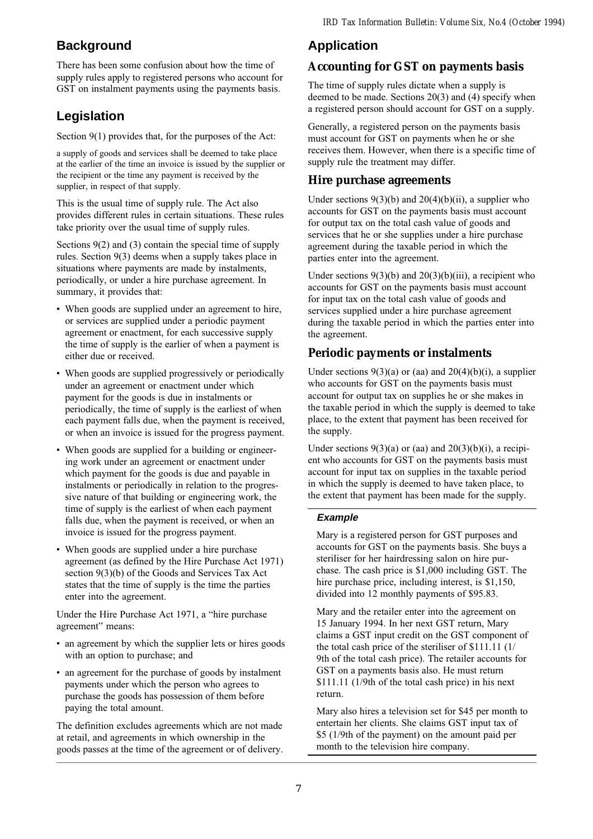# **Background**

There has been some confusion about how the time of supply rules apply to registered persons who account for GST on instalment payments using the payments basis.

# **Legislation**

Section 9(1) provides that, for the purposes of the Act:

a supply of goods and services shall be deemed to take place at the earlier of the time an invoice is issued by the supplier or the recipient or the time any payment is received by the supplier, in respect of that supply.

This is the usual time of supply rule. The Act also provides different rules in certain situations. These rules take priority over the usual time of supply rules.

Sections 9(2) and (3) contain the special time of supply rules. Section 9(3) deems when a supply takes place in situations where payments are made by instalments, periodically, or under a hire purchase agreement. In summary, it provides that:

- When goods are supplied under an agreement to hire, or services are supplied under a periodic payment agreement or enactment, for each successive supply the time of supply is the earlier of when a payment is either due or received.
- When goods are supplied progressively or periodically under an agreement or enactment under which payment for the goods is due in instalments or periodically, the time of supply is the earliest of when each payment falls due, when the payment is received, or when an invoice is issued for the progress payment.
- When goods are supplied for a building or engineering work under an agreement or enactment under which payment for the goods is due and payable in instalments or periodically in relation to the progressive nature of that building or engineering work, the time of supply is the earliest of when each payment falls due, when the payment is received, or when an invoice is issued for the progress payment.
- When goods are supplied under a hire purchase agreement (as defined by the Hire Purchase Act 1971) section 9(3)(b) of the Goods and Services Tax Act states that the time of supply is the time the parties enter into the agreement.

Under the Hire Purchase Act 1971, a "hire purchase agreement" means:

- an agreement by which the supplier lets or hires goods with an option to purchase; and
- an agreement for the purchase of goods by instalment payments under which the person who agrees to purchase the goods has possession of them before paying the total amount.

The definition excludes agreements which are not made at retail, and agreements in which ownership in the goods passes at the time of the agreement or of delivery.

# **Application**

## **Accounting for GST on payments basis**

The time of supply rules dictate when a supply is deemed to be made. Sections 20(3) and (4) specify when a registered person should account for GST on a supply.

Generally, a registered person on the payments basis must account for GST on payments when he or she receives them. However, when there is a specific time of supply rule the treatment may differ.

### **Hire purchase agreements**

Under sections  $9(3)(b)$  and  $20(4)(b)(ii)$ , a supplier who accounts for GST on the payments basis must account for output tax on the total cash value of goods and services that he or she supplies under a hire purchase agreement during the taxable period in which the parties enter into the agreement.

Under sections  $9(3)(b)$  and  $20(3)(b)(iii)$ , a recipient who accounts for GST on the payments basis must account for input tax on the total cash value of goods and services supplied under a hire purchase agreement during the taxable period in which the parties enter into the agreement.

### **Periodic payments or instalments**

Under sections  $9(3)(a)$  or (aa) and  $20(4)(b)(i)$ , a supplier who accounts for GST on the payments basis must account for output tax on supplies he or she makes in the taxable period in which the supply is deemed to take place, to the extent that payment has been received for the supply.

Under sections  $9(3)(a)$  or (aa) and  $20(3)(b)(i)$ , a recipient who accounts for GST on the payments basis must account for input tax on supplies in the taxable period in which the supply is deemed to have taken place, to the extent that payment has been made for the supply.

### **Example**

Mary is a registered person for GST purposes and accounts for GST on the payments basis. She buys a steriliser for her hairdressing salon on hire purchase. The cash price is \$1,000 including GST. The hire purchase price, including interest, is \$1,150, divided into 12 monthly payments of \$95.83.

Mary and the retailer enter into the agreement on 15 January 1994. In her next GST return, Mary claims a GST input credit on the GST component of the total cash price of the steriliser of \$111.11 (1/ 9th of the total cash price). The retailer accounts for GST on a payments basis also. He must return \$111.11 (1/9th of the total cash price) in his next return.

Mary also hires a television set for \$45 per month to entertain her clients. She claims GST input tax of \$5 (1/9th of the payment) on the amount paid per month to the television hire company.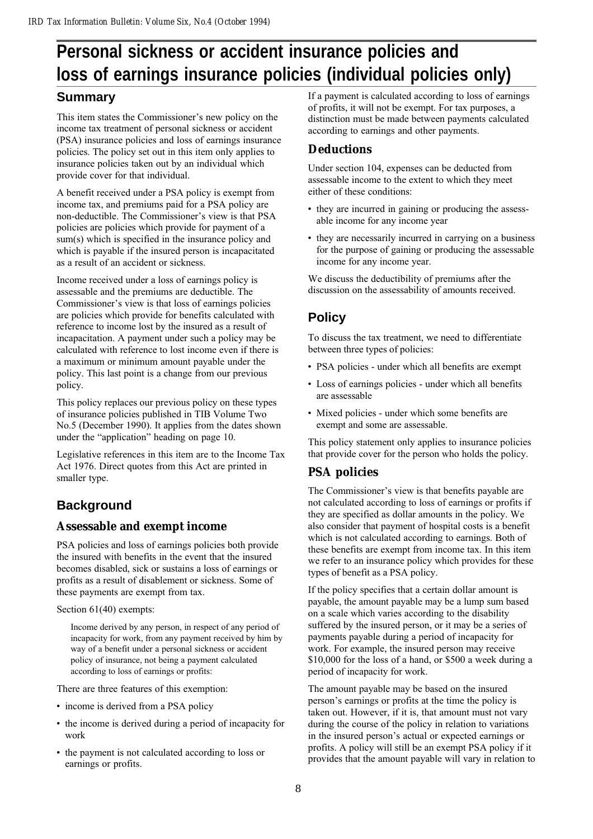# **Personal sickness or accident insurance policies and loss of earnings insurance policies (individual policies only)**

### **Summary**

This item states the Commissioner's new policy on the income tax treatment of personal sickness or accident (PSA) insurance policies and loss of earnings insurance policies. The policy set out in this item only applies to insurance policies taken out by an individual which provide cover for that individual.

A benefit received under a PSA policy is exempt from income tax, and premiums paid for a PSA policy are non-deductible. The Commissioner's view is that PSA policies are policies which provide for payment of a sum(s) which is specified in the insurance policy and which is payable if the insured person is incapacitated as a result of an accident or sickness.

Income received under a loss of earnings policy is assessable and the premiums are deductible. The Commissioner's view is that loss of earnings policies are policies which provide for benefits calculated with reference to income lost by the insured as a result of incapacitation. A payment under such a policy may be calculated with reference to lost income even if there is a maximum or minimum amount payable under the policy. This last point is a change from our previous policy.

This policy replaces our previous policy on these types of insurance policies published in TIB Volume Two No.5 (December 1990). It applies from the dates shown under the "application" heading on page 10.

Legislative references in this item are to the Income Tax Act 1976. Direct quotes from this Act are printed in smaller type.

# **Background**

### **Assessable and exempt income**

PSA policies and loss of earnings policies both provide the insured with benefits in the event that the insured becomes disabled, sick or sustains a loss of earnings or profits as a result of disablement or sickness. Some of these payments are exempt from tax.

#### Section 61(40) exempts:

Income derived by any person, in respect of any period of incapacity for work, from any payment received by him by way of a benefit under a personal sickness or accident policy of insurance, not being a payment calculated according to loss of earnings or profits:

There are three features of this exemption:

- income is derived from a PSA policy
- the income is derived during a period of incapacity for work
- the payment is not calculated according to loss or earnings or profits.

If a payment is calculated according to loss of earnings of profits, it will not be exempt. For tax purposes, a distinction must be made between payments calculated according to earnings and other payments.

### **Deductions**

Under section 104, expenses can be deducted from assessable income to the extent to which they meet either of these conditions:

- they are incurred in gaining or producing the assessable income for any income year
- they are necessarily incurred in carrying on a business for the purpose of gaining or producing the assessable income for any income year.

We discuss the deductibility of premiums after the discussion on the assessability of amounts received.

# **Policy**

To discuss the tax treatment, we need to differentiate between three types of policies:

- PSA policies under which all benefits are exempt
- Loss of earnings policies under which all benefits are assessable
- Mixed policies under which some benefits are exempt and some are assessable.

This policy statement only applies to insurance policies that provide cover for the person who holds the policy.

## **PSA policies**

The Commissioner's view is that benefits payable are not calculated according to loss of earnings or profits if they are specified as dollar amounts in the policy. We also consider that payment of hospital costs is a benefit which is not calculated according to earnings. Both of these benefits are exempt from income tax. In this item we refer to an insurance policy which provides for these types of benefit as a PSA policy.

If the policy specifies that a certain dollar amount is payable, the amount payable may be a lump sum based on a scale which varies according to the disability suffered by the insured person, or it may be a series of payments payable during a period of incapacity for work. For example, the insured person may receive \$10,000 for the loss of a hand, or \$500 a week during a period of incapacity for work.

The amount payable may be based on the insured person's earnings or profits at the time the policy is taken out. However, if it is, that amount must not vary during the course of the policy in relation to variations in the insured person's actual or expected earnings or profits. A policy will still be an exempt PSA policy if it provides that the amount payable will vary in relation to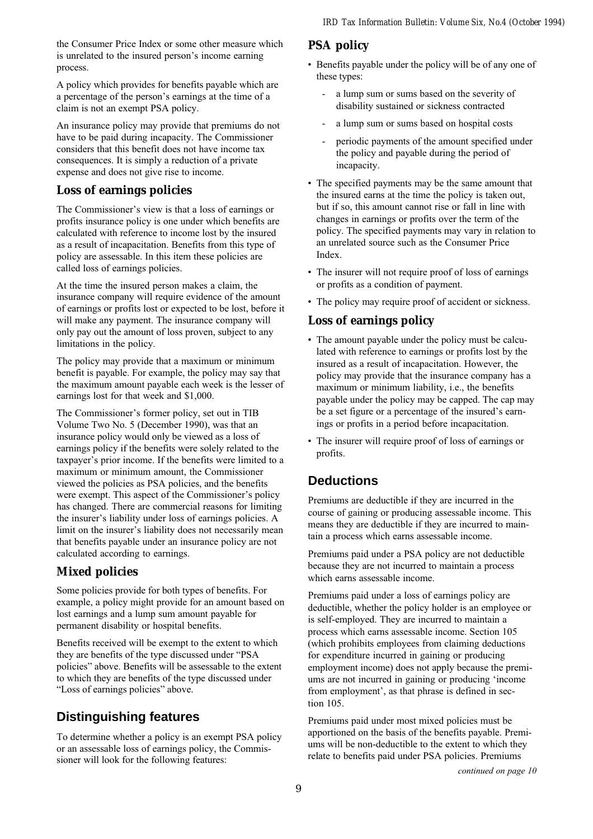the Consumer Price Index or some other measure which is unrelated to the insured person's income earning process.

A policy which provides for benefits payable which are a percentage of the person's earnings at the time of a claim is not an exempt PSA policy.

An insurance policy may provide that premiums do not have to be paid during incapacity. The Commissioner considers that this benefit does not have income tax consequences. It is simply a reduction of a private expense and does not give rise to income.

### **Loss of earnings policies**

The Commissioner's view is that a loss of earnings or profits insurance policy is one under which benefits are calculated with reference to income lost by the insured as a result of incapacitation. Benefits from this type of policy are assessable. In this item these policies are called loss of earnings policies.

At the time the insured person makes a claim, the insurance company will require evidence of the amount of earnings or profits lost or expected to be lost, before it will make any payment. The insurance company will only pay out the amount of loss proven, subject to any limitations in the policy.

The policy may provide that a maximum or minimum benefit is payable. For example, the policy may say that the maximum amount payable each week is the lesser of earnings lost for that week and \$1,000.

The Commissioner's former policy, set out in TIB Volume Two No. 5 (December 1990), was that an insurance policy would only be viewed as a loss of earnings policy if the benefits were solely related to the taxpayer's prior income. If the benefits were limited to a maximum or minimum amount, the Commissioner viewed the policies as PSA policies, and the benefits were exempt. This aspect of the Commissioner's policy has changed. There are commercial reasons for limiting the insurer's liability under loss of earnings policies. A limit on the insurer's liability does not necessarily mean that benefits payable under an insurance policy are not calculated according to earnings.

### **Mixed policies**

Some policies provide for both types of benefits. For example, a policy might provide for an amount based on lost earnings and a lump sum amount payable for permanent disability or hospital benefits.

Benefits received will be exempt to the extent to which they are benefits of the type discussed under "PSA" policies" above. Benefits will be assessable to the extent to which they are benefits of the type discussed under "Loss of earnings policies" above.

## **Distinguishing features**

To determine whether a policy is an exempt PSA policy or an assessable loss of earnings policy, the Commissioner will look for the following features:

### **PSA policy**

- Benefits payable under the policy will be of any one of these types:
	- a lump sum or sums based on the severity of disability sustained or sickness contracted
	- a lump sum or sums based on hospital costs
	- periodic payments of the amount specified under the policy and payable during the period of incapacity.
- The specified payments may be the same amount that the insured earns at the time the policy is taken out, but if so, this amount cannot rise or fall in line with changes in earnings or profits over the term of the policy. The specified payments may vary in relation to an unrelated source such as the Consumer Price Index.
- The insurer will not require proof of loss of earnings or profits as a condition of payment.
- The policy may require proof of accident or sickness.

### **Loss of earnings policy**

- The amount payable under the policy must be calculated with reference to earnings or profits lost by the insured as a result of incapacitation. However, the policy may provide that the insurance company has a maximum or minimum liability, i.e., the benefits payable under the policy may be capped. The cap may be a set figure or a percentage of the insured's earnings or profits in a period before incapacitation.
- The insurer will require proof of loss of earnings or profits.

## **Deductions**

Premiums are deductible if they are incurred in the course of gaining or producing assessable income. This means they are deductible if they are incurred to maintain a process which earns assessable income.

Premiums paid under a PSA policy are not deductible because they are not incurred to maintain a process which earns assessable income.

Premiums paid under a loss of earnings policy are deductible, whether the policy holder is an employee or is self-employed. They are incurred to maintain a process which earns assessable income. Section 105 (which prohibits employees from claiming deductions for expenditure incurred in gaining or producing employment income) does not apply because the premiums are not incurred in gaining or producing 'income from employment', as that phrase is defined in section 105.

Premiums paid under most mixed policies must be apportioned on the basis of the benefits payable. Premiums will be non-deductible to the extent to which they relate to benefits paid under PSA policies. Premiums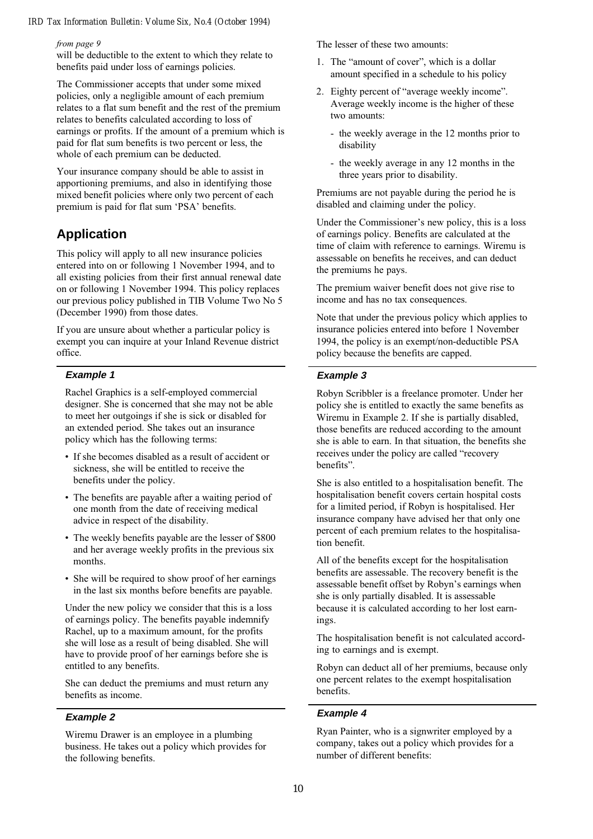#### from page 9

will be deductible to the extent to which they relate to benefits paid under loss of earnings policies.

The Commissioner accepts that under some mixed policies, only a negligible amount of each premium relates to a flat sum benefit and the rest of the premium relates to benefits calculated according to loss of earnings or profits. If the amount of a premium which is paid for flat sum benefits is two percent or less, the whole of each premium can be deducted.

Your insurance company should be able to assist in apportioning premiums, and also in identifying those mixed benefit policies where only two percent of each premium is paid for flat sum 'PSA' benefits.

### **Application**

This policy will apply to all new insurance policies entered into on or following 1 November 1994, and to all existing policies from their first annual renewal date on or following 1 November 1994. This policy replaces our previous policy published in TIB Volume Two No 5 (December 1990) from those dates.

If you are unsure about whether a particular policy is exempt you can inquire at your Inland Revenue district office.

#### **Example 1**

Rachel Graphics is a self-employed commercial designer. She is concerned that she may not be able to meet her outgoings if she is sick or disabled for an extended period. She takes out an insurance policy which has the following terms:

- If she becomes disabled as a result of accident or sickness, she will be entitled to receive the benefits under the policy.
- The benefits are payable after a waiting period of one month from the date of receiving medical advice in respect of the disability.
- The weekly benefits payable are the lesser of \$800 and her average weekly profits in the previous six months.
- She will be required to show proof of her earnings in the last six months before benefits are payable.

Under the new policy we consider that this is a loss of earnings policy. The benefits payable indemnify Rachel, up to a maximum amount, for the profits she will lose as a result of being disabled. She will have to provide proof of her earnings before she is entitled to any benefits.

She can deduct the premiums and must return any benefits as income.

#### **Example 2**

Wiremu Drawer is an employee in a plumbing business. He takes out a policy which provides for the following benefits.

The lesser of these two amounts:

- 1. The "amount of cover", which is a dollar amount specified in a schedule to his policy
- 2. Eighty percent of "average weekly income". Average weekly income is the higher of these two amounts:
	- the weekly average in the 12 months prior to disability
	- the weekly average in any 12 months in the three years prior to disability.

Premiums are not payable during the period he is disabled and claiming under the policy.

Under the Commissioner's new policy, this is a loss of earnings policy. Benefits are calculated at the time of claim with reference to earnings. Wiremu is assessable on benefits he receives, and can deduct the premiums he pays.

The premium waiver benefit does not give rise to income and has no tax consequences.

Note that under the previous policy which applies to insurance policies entered into before 1 November 1994, the policy is an exempt/non-deductible PSA policy because the benefits are capped.

#### **Example 3**

Robyn Scribbler is a freelance promoter. Under her policy she is entitled to exactly the same benefits as Wiremu in Example 2. If she is partially disabled, those benefits are reduced according to the amount she is able to earn. In that situation, the benefits she receives under the policy are called "recovery" benefits".

She is also entitled to a hospitalisation benefit. The hospitalisation benefit covers certain hospital costs for a limited period, if Robyn is hospitalised. Her insurance company have advised her that only one percent of each premium relates to the hospitalisation benefit.

All of the benefits except for the hospitalisation benefits are assessable. The recovery benefit is the assessable benefit offset by Robyn's earnings when she is only partially disabled. It is assessable because it is calculated according to her lost earnings.

The hospitalisation benefit is not calculated according to earnings and is exempt.

Robyn can deduct all of her premiums, because only one percent relates to the exempt hospitalisation benefits.

#### **Example 4**

Ryan Painter, who is a signwriter employed by a company, takes out a policy which provides for a number of different benefits: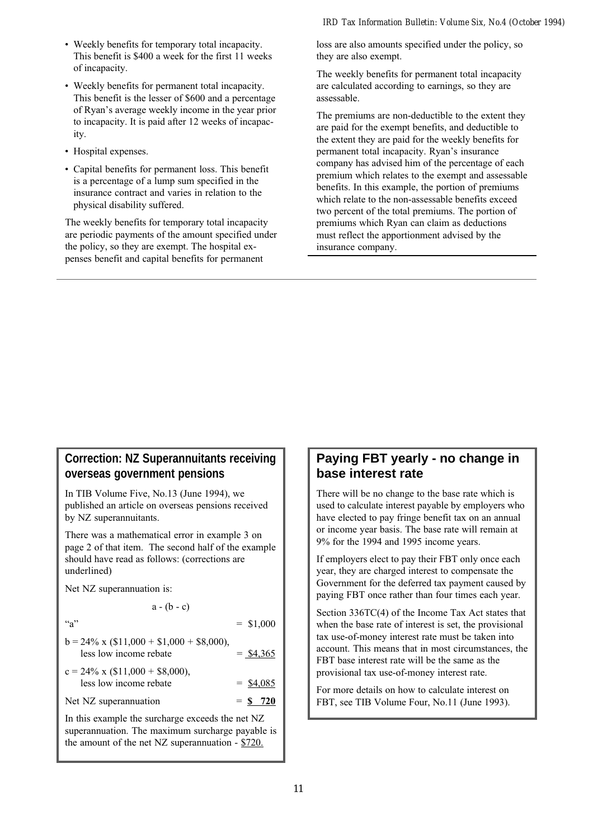- Weekly benefits for temporary total incapacity. This benefit is \$400 a week for the first 11 weeks of incapacity.
- Weekly benefits for permanent total incapacity. This benefit is the lesser of \$600 and a percentage of Ryan's average weekly income in the year prior to incapacity. It is paid after 12 weeks of incapacity.
- Hospital expenses.
- Capital benefits for permanent loss. This benefit is a percentage of a lump sum specified in the insurance contract and varies in relation to the physical disability suffered.

The weekly benefits for temporary total incapacity are periodic payments of the amount specified under the policy, so they are exempt. The hospital expenses benefit and capital benefits for permanent

loss are also amounts specified under the policy, so they are also exempt.

The weekly benefits for permanent total incapacity are calculated according to earnings, so they are assessable.

The premiums are non-deductible to the extent they are paid for the exempt benefits, and deductible to the extent they are paid for the weekly benefits for permanent total incapacity. Ryan's insurance company has advised him of the percentage of each premium which relates to the exempt and assessable benefits. In this example, the portion of premiums which relate to the non-assessable benefits exceed two percent of the total premiums. The portion of premiums which Ryan can claim as deductions must reflect the apportionment advised by the insurance company.

### **Correction: NZ Superannuitants receiving overseas government pensions**

In TIB Volume Five, No.13 (June 1994), we published an article on overseas pensions received by NZ superannuitants.

There was a mathematical error in example 3 on page 2 of that item. The second half of the example should have read as follows: (corrections are underlined)

Net NZ superannuation is:

 $a - (b - c)$ 

"a"  $=$  \$1,000

| $b = 24\% \times (\$11,000 + \$1,000 + \$8,000),$ |  |             |
|---------------------------------------------------|--|-------------|
| less low income rebate                            |  | $=$ \$4,365 |
| $c = 24\% \times (\$11,000 + \$8,000),$           |  |             |
| less low income rebate                            |  | $=$ \$4,085 |
| Net NZ superannuation                             |  | $=$ \$ 720  |

In this example the surcharge exceeds the net NZ superannuation. The maximum surcharge payable is the amount of the net NZ superannuation - \$720.

## **Paying FBT yearly - no change in base interest rate**

There will be no change to the base rate which is used to calculate interest payable by employers who have elected to pay fringe benefit tax on an annual or income year basis. The base rate will remain at 9% for the 1994 and 1995 income years.

If employers elect to pay their FBT only once each year, they are charged interest to compensate the Government for the deferred tax payment caused by paying FBT once rather than four times each year.

Section 336TC(4) of the Income Tax Act states that when the base rate of interest is set, the provisional tax use-of-money interest rate must be taken into account. This means that in most circumstances, the FBT base interest rate will be the same as the provisional tax use-of-money interest rate.

For more details on how to calculate interest on FBT, see TIB Volume Four, No.11 (June 1993).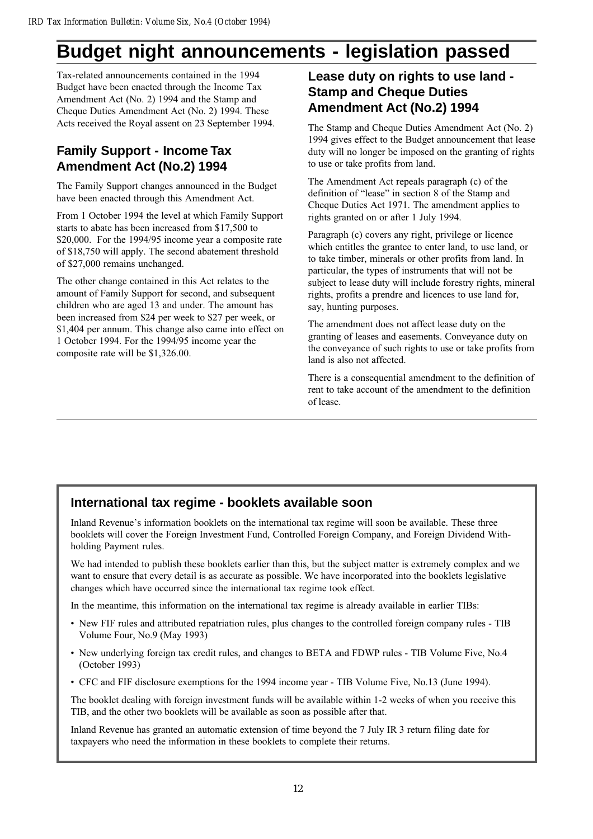# **Budget night announcements - legislation passed**

Tax-related announcements contained in the 1994 Budget have been enacted through the Income Tax Amendment Act (No. 2) 1994 and the Stamp and Cheque Duties Amendment Act (No. 2) 1994. These Acts received the Royal assent on 23 September 1994.

## **Family Support - Income Tax Amendment Act (No.2) 1994**

The Family Support changes announced in the Budget have been enacted through this Amendment Act.

From 1 October 1994 the level at which Family Support starts to abate has been increased from \$17,500 to \$20,000. For the 1994/95 income year a composite rate of \$18,750 will apply. The second abatement threshold of \$27,000 remains unchanged.

The other change contained in this Act relates to the amount of Family Support for second, and subsequent children who are aged 13 and under. The amount has been increased from \$24 per week to \$27 per week, or \$1,404 per annum. This change also came into effect on 1 October 1994. For the 1994/95 income year the composite rate will be \$1,326.00.

## **Lease duty on rights to use land - Stamp and Cheque Duties Amendment Act (No.2) 1994**

The Stamp and Cheque Duties Amendment Act (No. 2) 1994 gives effect to the Budget announcement that lease duty will no longer be imposed on the granting of rights to use or take profits from land.

The Amendment Act repeals paragraph (c) of the definition of "lease" in section 8 of the Stamp and Cheque Duties Act 1971. The amendment applies to rights granted on or after 1 July 1994.

Paragraph (c) covers any right, privilege or licence which entitles the grantee to enter land, to use land, or to take timber, minerals or other profits from land. In particular, the types of instruments that will not be subject to lease duty will include forestry rights, mineral rights, profits a prendre and licences to use land for, say, hunting purposes.

The amendment does not affect lease duty on the granting of leases and easements. Conveyance duty on the conveyance of such rights to use or take profits from land is also not affected.

There is a consequential amendment to the definition of rent to take account of the amendment to the definition of lease.

# **International tax regime - booklets available soon**

Inland Revenue's information booklets on the international tax regime will soon be available. These three booklets will cover the Foreign Investment Fund, Controlled Foreign Company, and Foreign Dividend Withholding Payment rules.

We had intended to publish these booklets earlier than this, but the subject matter is extremely complex and we want to ensure that every detail is as accurate as possible. We have incorporated into the booklets legislative changes which have occurred since the international tax regime took effect.

In the meantime, this information on the international tax regime is already available in earlier TIBs:

- New FIF rules and attributed repatriation rules, plus changes to the controlled foreign company rules TIB Volume Four, No.9 (May 1993)
- New underlying foreign tax credit rules, and changes to BETA and FDWP rules TIB Volume Five, No.4 (October 1993)
- CFC and FIF disclosure exemptions for the 1994 income year TIB Volume Five, No.13 (June 1994).

The booklet dealing with foreign investment funds will be available within 1-2 weeks of when you receive this TIB, and the other two booklets will be available as soon as possible after that.

Inland Revenue has granted an automatic extension of time beyond the 7 July IR 3 return filing date for taxpayers who need the information in these booklets to complete their returns.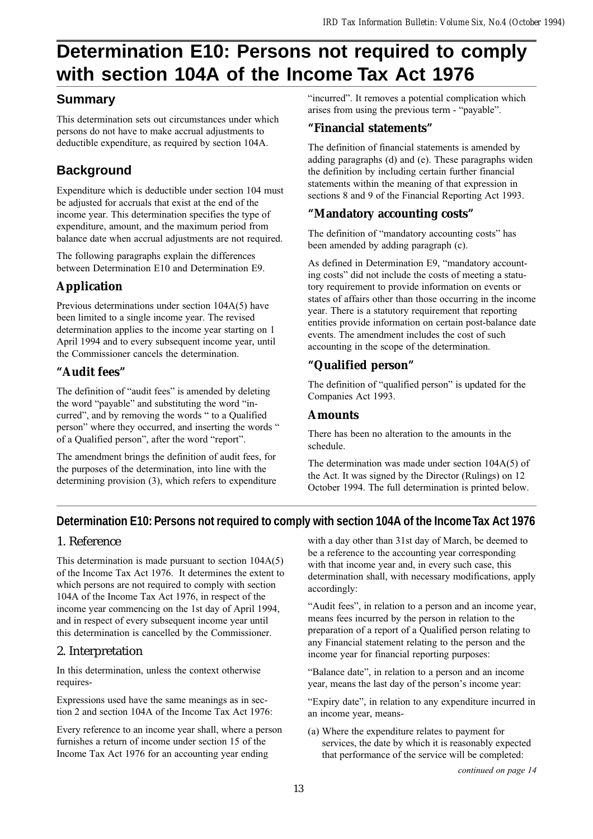# **Determination E10: Persons not required to comply with section 104A of the Income Tax Act 1976**

### **Summary**

This determination sets out circumstances under which persons do not have to make accrual adjustments to deductible expenditure, as required by section 104A.

# **Background**

Expenditure which is deductible under section 104 must be adjusted for accruals that exist at the end of the income year. This determination specifies the type of expenditure, amount, and the maximum period from balance date when accrual adjustments are not required.

The following paragraphs explain the differences between Determination E10 and Determination E9.

# **Application**

Previous determinations under section 104A(5) have been limited to a single income year. The revised determination applies to the income year starting on 1 April 1994 and to every subsequent income year, until the Commissioner cancels the determination.

# **"Audit fees"**

The definition of "audit fees" is amended by deleting the word "payable" and substituting the word "incurred", and by removing the words " to a Qualified person" where they occurred, and inserting the words " of a Qualified person", after the word "report".

The amendment brings the definition of audit fees, for the purposes of the determination, into line with the determining provision (3), which refers to expenditure "incurred". It removes a potential complication which arises from using the previous term - "payable".

### **"Financial statements"**

The definition of financial statements is amended by adding paragraphs (d) and (e). These paragraphs widen the definition by including certain further financial statements within the meaning of that expression in sections 8 and 9 of the Financial Reporting Act 1993.

### **"Mandatory accounting costs"**

The definition of "mandatory accounting costs" has been amended by adding paragraph (c).

As defined in Determination E9, "mandatory accounting costs" did not include the costs of meeting a statutory requirement to provide information on events or states of affairs other than those occurring in the income year. There is a statutory requirement that reporting entities provide information on certain post-balance date events. The amendment includes the cost of such accounting in the scope of the determination.

# **"Qualified person"**

The definition of "qualified person" is updated for the Companies Act 1993.

### **Amounts**

There has been no alteration to the amounts in the schedule.

The determination was made under section 104A(5) of the Act. It was signed by the Director (Rulings) on 12 October 1994. The full determination is printed below.

# **Determination E10: Persons not required to comply with section 104A of the Income Tax Act 1976**

### 1. Reference

This determination is made pursuant to section 104A(5) of the Income Tax Act 1976. It determines the extent to which persons are not required to comply with section 104A of the Income Tax Act 1976, in respect of the income year commencing on the 1st day of April 1994, and in respect of every subsequent income year until this determination is cancelled by the Commissioner.

## 2. Interpretation

In this determination, unless the context otherwise requires-

Expressions used have the same meanings as in section 2 and section 104A of the Income Tax Act 1976:

Every reference to an income year shall, where a person furnishes a return of income under section 15 of the Income Tax Act 1976 for an accounting year ending

with a day other than 31st day of March, be deemed to be a reference to the accounting year corresponding with that income year and, in every such case, this determination shall, with necessary modifications, apply accordingly:

"Audit fees", in relation to a person and an income year, means fees incurred by the person in relation to the preparation of a report of a Qualified person relating to any Financial statement relating to the person and the income year for financial reporting purposes:

"Balance date", in relation to a person and an income year, means the last day of the person's income year:

"Expiry date", in relation to any expenditure incurred in an income year, means-

(a) Where the expenditure relates to payment for services, the date by which it is reasonably expected that performance of the service will be completed:

continued on page 14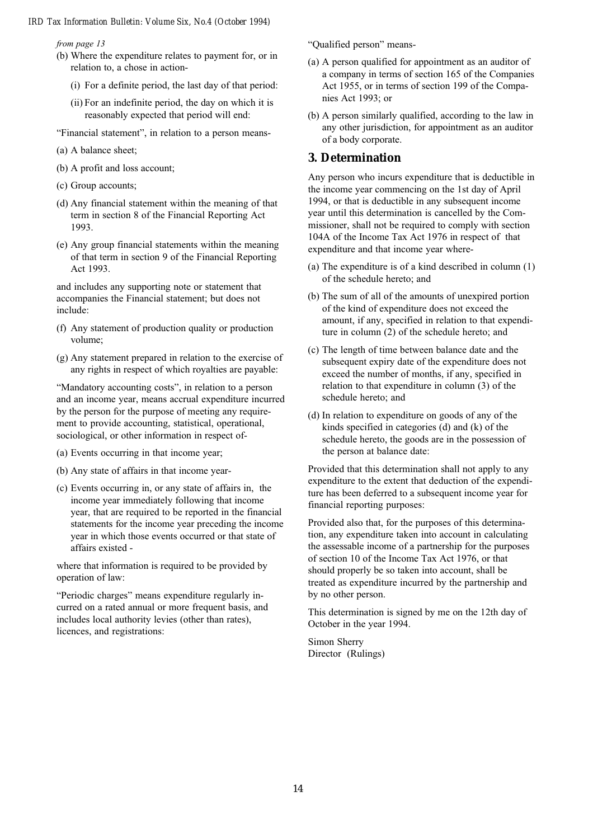from page 13

- (b) Where the expenditure relates to payment for, or in relation to, a chose in action-
	- (i) For a definite period, the last day of that period:
	- (ii) For an indefinite period, the day on which it is reasonably expected that period will end:
- "Financial statement", in relation to a person means-
- (a) A balance sheet;
- (b) A profit and loss account;
- (c) Group accounts;
- (d) Any financial statement within the meaning of that term in section 8 of the Financial Reporting Act 1993.
- (e) Any group financial statements within the meaning of that term in section 9 of the Financial Reporting Act 1993.

and includes any supporting note or statement that accompanies the Financial statement; but does not include:

- (f) Any statement of production quality or production volume;
- (g) Any statement prepared in relation to the exercise of any rights in respect of which royalties are payable:

"Mandatory accounting costs", in relation to a person and an income year, means accrual expenditure incurred by the person for the purpose of meeting any requirement to provide accounting, statistical, operational, sociological, or other information in respect of-

- (a) Events occurring in that income year;
- (b) Any state of affairs in that income year-
- (c) Events occurring in, or any state of affairs in, the income year immediately following that income year, that are required to be reported in the financial statements for the income year preceding the income year in which those events occurred or that state of affairs existed -

where that information is required to be provided by operation of law:

"Periodic charges" means expenditure regularly incurred on a rated annual or more frequent basis, and includes local authority levies (other than rates), licences, and registrations:

"Qualified person" means-

- (a) A person qualified for appointment as an auditor of a company in terms of section 165 of the Companies Act 1955, or in terms of section 199 of the Companies Act 1993; or
- (b) A person similarly qualified, according to the law in any other jurisdiction, for appointment as an auditor of a body corporate.

#### **3. Determination**

Any person who incurs expenditure that is deductible in the income year commencing on the 1st day of April 1994, or that is deductible in any subsequent income year until this determination is cancelled by the Commissioner, shall not be required to comply with section 104A of the Income Tax Act 1976 in respect of that expenditure and that income year where-

- (a) The expenditure is of a kind described in column (1) of the schedule hereto; and
- (b) The sum of all of the amounts of unexpired portion of the kind of expenditure does not exceed the amount, if any, specified in relation to that expenditure in column (2) of the schedule hereto; and
- (c) The length of time between balance date and the subsequent expiry date of the expenditure does not exceed the number of months, if any, specified in relation to that expenditure in column (3) of the schedule hereto; and
- (d) In relation to expenditure on goods of any of the kinds specified in categories (d) and (k) of the schedule hereto, the goods are in the possession of the person at balance date:

Provided that this determination shall not apply to any expenditure to the extent that deduction of the expenditure has been deferred to a subsequent income year for financial reporting purposes:

Provided also that, for the purposes of this determination, any expenditure taken into account in calculating the assessable income of a partnership for the purposes of section 10 of the Income Tax Act 1976, or that should properly be so taken into account, shall be treated as expenditure incurred by the partnership and by no other person.

This determination is signed by me on the 12th day of October in the year 1994.

Simon Sherry Director (Rulings)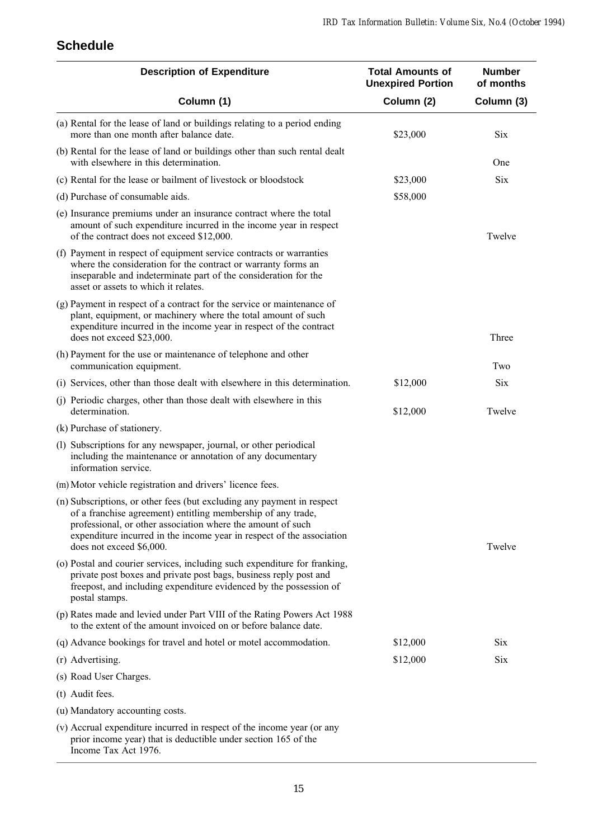# **Schedule**

| <b>Description of Expenditure</b>                                                                                                                                                                                                                                                                          | <b>Total Amounts of</b><br><b>Unexpired Portion</b> | <b>Number</b><br>of months |
|------------------------------------------------------------------------------------------------------------------------------------------------------------------------------------------------------------------------------------------------------------------------------------------------------------|-----------------------------------------------------|----------------------------|
| Column (1)                                                                                                                                                                                                                                                                                                 | Column (2)                                          | Column (3)                 |
| (a) Rental for the lease of land or buildings relating to a period ending<br>more than one month after balance date.                                                                                                                                                                                       | \$23,000                                            | <b>Six</b>                 |
| (b) Rental for the lease of land or buildings other than such rental dealt<br>with elsewhere in this determination.                                                                                                                                                                                        |                                                     | One                        |
| (c) Rental for the lease or bailment of livestock or bloodstock                                                                                                                                                                                                                                            | \$23,000                                            | <b>Six</b>                 |
| (d) Purchase of consumable aids.                                                                                                                                                                                                                                                                           | \$58,000                                            |                            |
| (e) Insurance premiums under an insurance contract where the total<br>amount of such expenditure incurred in the income year in respect<br>of the contract does not exceed \$12,000.                                                                                                                       |                                                     | Twelve                     |
| (f) Payment in respect of equipment service contracts or warranties<br>where the consideration for the contract or warranty forms an<br>inseparable and indeterminate part of the consideration for the<br>asset or assets to which it relates.                                                            |                                                     |                            |
| (g) Payment in respect of a contract for the service or maintenance of<br>plant, equipment, or machinery where the total amount of such<br>expenditure incurred in the income year in respect of the contract<br>does not exceed \$23,000.                                                                 |                                                     | Three                      |
| (h) Payment for the use or maintenance of telephone and other<br>communication equipment.                                                                                                                                                                                                                  |                                                     | Two                        |
| (i) Services, other than those dealt with elsewhere in this determination.                                                                                                                                                                                                                                 | \$12,000                                            | <b>Six</b>                 |
| (j) Periodic charges, other than those dealt with elsewhere in this<br>determination.                                                                                                                                                                                                                      | \$12,000                                            | Twelve                     |
| (k) Purchase of stationery.                                                                                                                                                                                                                                                                                |                                                     |                            |
| (1) Subscriptions for any newspaper, journal, or other periodical<br>including the maintenance or annotation of any documentary<br>information service.                                                                                                                                                    |                                                     |                            |
| (m) Motor vehicle registration and drivers' licence fees.                                                                                                                                                                                                                                                  |                                                     |                            |
| (n) Subscriptions, or other fees (but excluding any payment in respect<br>of a franchise agreement) entitling membership of any trade,<br>professional, or other association where the amount of such<br>expenditure incurred in the income year in respect of the association<br>does not exceed \$6,000. |                                                     | Twelve                     |
| (o) Postal and courier services, including such expenditure for franking,<br>private post boxes and private post bags, business reply post and<br>freepost, and including expenditure evidenced by the possession of<br>postal stamps.                                                                     |                                                     |                            |
| (p) Rates made and levied under Part VIII of the Rating Powers Act 1988<br>to the extent of the amount invoiced on or before balance date.                                                                                                                                                                 |                                                     |                            |
| (q) Advance bookings for travel and hotel or motel accommodation.                                                                                                                                                                                                                                          | \$12,000                                            | Six                        |
| (r) Advertising.                                                                                                                                                                                                                                                                                           | \$12,000                                            | Six                        |
| (s) Road User Charges.                                                                                                                                                                                                                                                                                     |                                                     |                            |
| (t) Audit fees.                                                                                                                                                                                                                                                                                            |                                                     |                            |
| (u) Mandatory accounting costs.                                                                                                                                                                                                                                                                            |                                                     |                            |
| (v) Accrual expenditure incurred in respect of the income year (or any<br>prior income year) that is deductible under section 165 of the<br>Income Tax Act 1976.                                                                                                                                           |                                                     |                            |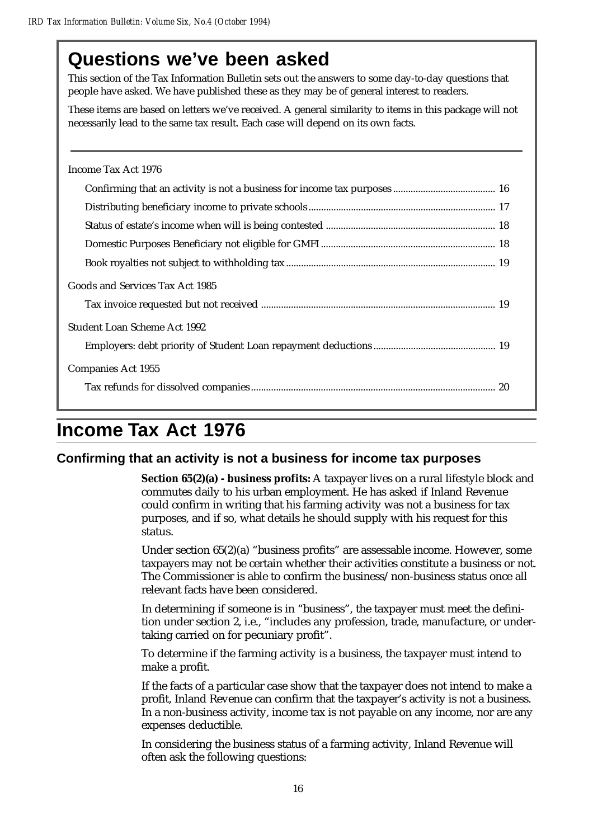# **Questions we've been asked**

This section of the Tax Information Bulletin sets out the answers to some day-to-day questions that people have asked. We have published these as they may be of general interest to readers.

These items are based on letters we've received. A general similarity to items in this package will not necessarily lead to the same tax result. Each case will depend on its own facts.

| Income Tax Act 1976             |
|---------------------------------|
|                                 |
|                                 |
|                                 |
|                                 |
|                                 |
| Goods and Services Tax Act 1985 |
|                                 |
| Student Loan Scheme Act 1992    |
|                                 |
| Companies Act 1955              |
|                                 |

# **Income Tax Act 1976**

### **Confirming that an activity is not a business for income tax purposes**

**Section 65(2)(a) - business profits:** A taxpayer lives on a rural lifestyle block and commutes daily to his urban employment. He has asked if Inland Revenue could confirm in writing that his farming activity was not a business for tax purposes, and if so, what details he should supply with his request for this status.

Under section 65(2)(a) "business profits" are assessable income. However, some taxpayers may not be certain whether their activities constitute a business or not. The Commissioner is able to confirm the business/non-business status once all relevant facts have been considered.

In determining if someone is in "business", the taxpayer must meet the definition under section 2, i.e., "includes any profession, trade, manufacture, or undertaking carried on for pecuniary profit".

To determine if the farming activity is a business, the taxpayer must intend to make a profit.

If the facts of a particular case show that the taxpayer does not intend to make a profit, Inland Revenue can confirm that the taxpayer's activity is not a business. In a non-business activity, income tax is not payable on any income, nor are any expenses deductible.

In considering the business status of a farming activity, Inland Revenue will often ask the following questions: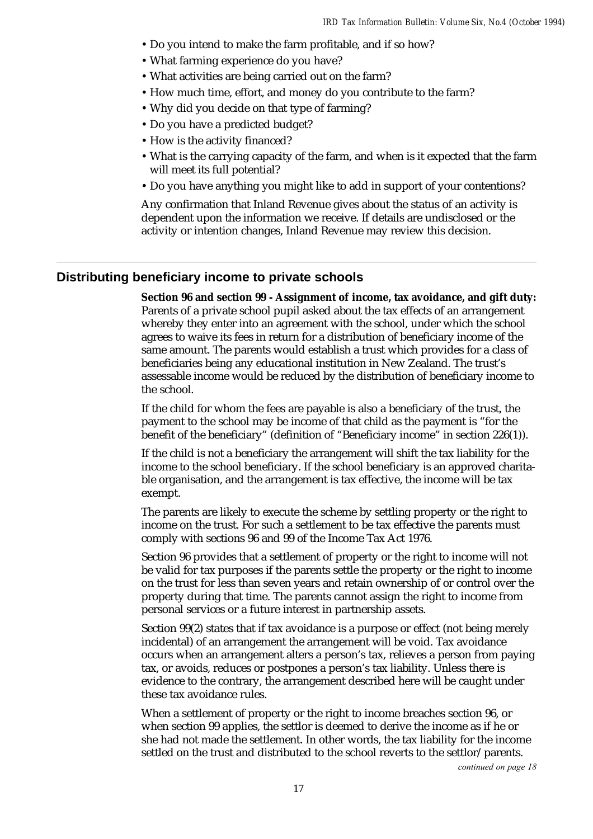- Do you intend to make the farm profitable, and if so how?
- What farming experience do you have?
- What activities are being carried out on the farm?
- How much time, effort, and money do you contribute to the farm?
- Why did you decide on that type of farming?
- Do you have a predicted budget?
- How is the activity financed?
- What is the carrying capacity of the farm, and when is it expected that the farm will meet its full potential?
- Do you have anything you might like to add in support of your contentions?

Any confirmation that Inland Revenue gives about the status of an activity is dependent upon the information we receive. If details are undisclosed or the activity or intention changes, Inland Revenue may review this decision.

#### **Distributing beneficiary income to private schools**

**Section 96 and section 99 - Assignment of income, tax avoidance, and gift duty:** Parents of a private school pupil asked about the tax effects of an arrangement whereby they enter into an agreement with the school, under which the school agrees to waive its fees in return for a distribution of beneficiary income of the same amount. The parents would establish a trust which provides for a class of beneficiaries being any educational institution in New Zealand. The trust's assessable income would be reduced by the distribution of beneficiary income to the school.

If the child for whom the fees are payable is also a beneficiary of the trust, the payment to the school may be income of that child as the payment is "for the benefit of the beneficiary" (definition of "Beneficiary income" in section 226(1)).

If the child is not a beneficiary the arrangement will shift the tax liability for the income to the school beneficiary. If the school beneficiary is an approved charitable organisation, and the arrangement is tax effective, the income will be tax exempt.

The parents are likely to execute the scheme by settling property or the right to income on the trust. For such a settlement to be tax effective the parents must comply with sections 96 and 99 of the Income Tax Act 1976.

Section 96 provides that a settlement of property or the right to income will not be valid for tax purposes if the parents settle the property or the right to income on the trust for less than seven years and retain ownership of or control over the property during that time. The parents cannot assign the right to income from personal services or a future interest in partnership assets.

Section 99(2) states that if tax avoidance is a purpose or effect (not being merely incidental) of an arrangement the arrangement will be void. Tax avoidance occurs when an arrangement alters a person's tax, relieves a person from paying tax, or avoids, reduces or postpones a person's tax liability. Unless there is evidence to the contrary, the arrangement described here will be caught under these tax avoidance rules.

When a settlement of property or the right to income breaches section 96, or when section 99 applies, the settlor is deemed to derive the income as if he or she had not made the settlement. In other words, the tax liability for the income settled on the trust and distributed to the school reverts to the settlor/parents.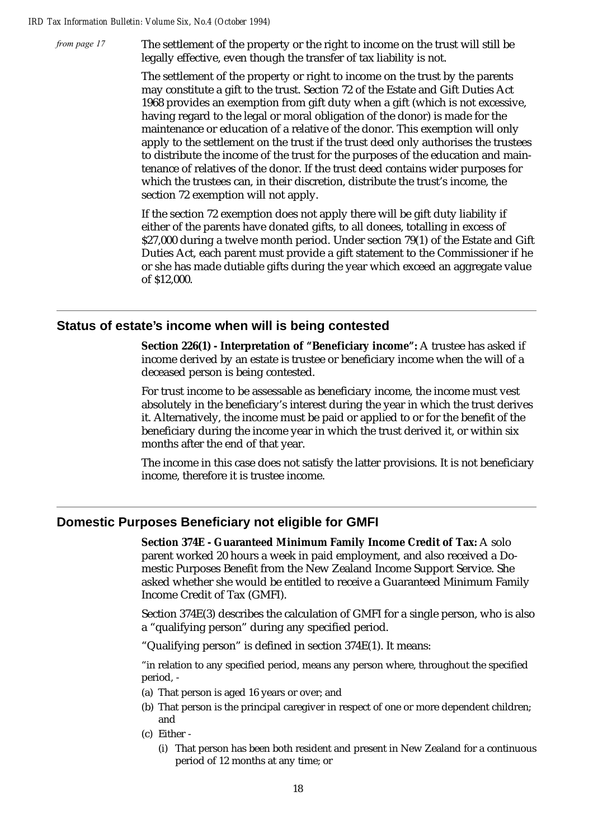from page 17

The settlement of the property or the right to income on the trust will still be legally effective, even though the transfer of tax liability is not.

The settlement of the property or right to income on the trust by the parents may constitute a gift to the trust. Section 72 of the Estate and Gift Duties Act 1968 provides an exemption from gift duty when a gift (which is not excessive, having regard to the legal or moral obligation of the donor) is made for the maintenance or education of a relative of the donor. This exemption will only apply to the settlement on the trust if the trust deed only authorises the trustees to distribute the income of the trust for the purposes of the education and maintenance of relatives of the donor. If the trust deed contains wider purposes for which the trustees can, in their discretion, distribute the trust's income, the section 72 exemption will not apply.

If the section 72 exemption does not apply there will be gift duty liability if either of the parents have donated gifts, to all donees, totalling in excess of \$27,000 during a twelve month period. Under section 79(1) of the Estate and Gift Duties Act, each parent must provide a gift statement to the Commissioner if he or she has made dutiable gifts during the year which exceed an aggregate value of \$12,000.

### **Status of estate's income when will is being contested**

**Section 226(1) - Interpretation of "Beneficiary income":** A trustee has asked if income derived by an estate is trustee or beneficiary income when the will of a deceased person is being contested.

For trust income to be assessable as beneficiary income, the income must vest absolutely in the beneficiary's interest during the year in which the trust derives it. Alternatively, the income must be paid or applied to or for the benefit of the beneficiary during the income year in which the trust derived it, or within six months after the end of that year.

The income in this case does not satisfy the latter provisions. It is not beneficiary income, therefore it is trustee income.

### **Domestic Purposes Beneficiary not eligible for GMFI**

**Section 374E - Guaranteed Minimum Family Income Credit of Tax:** A solo parent worked 20 hours a week in paid employment, and also received a Domestic Purposes Benefit from the New Zealand Income Support Service. She asked whether she would be entitled to receive a Guaranteed Minimum Family Income Credit of Tax (GMFI).

Section 374E(3) describes the calculation of GMFI for a single person, who is also a "qualifying person" during any specified period.

"Qualifying person" is defined in section 374E(1). It means:

"in relation to any specified period, means any person where, throughout the specified period, -

- (a) That person is aged 16 years or over; and
- (b) That person is the principal caregiver in respect of one or more dependent children; and
- (c) Either
	- (i) That person has been both resident and present in New Zealand for a continuous period of 12 months at any time; or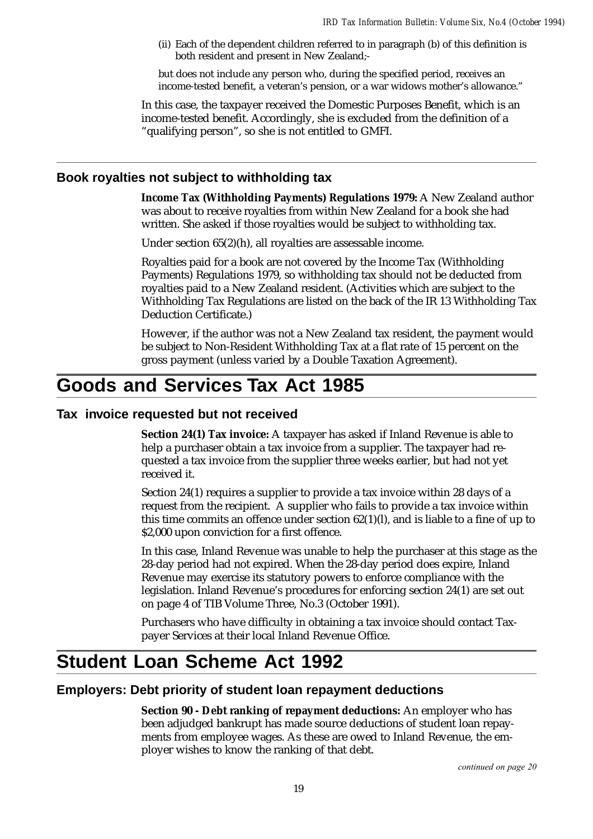(ii) Each of the dependent children referred to in paragraph (b) of this definition is both resident and present in New Zealand;-

but does not include any person who, during the specified period, receives an income-tested benefit, a veteran's pension, or a war widows mother's allowance."

In this case, the taxpayer received the Domestic Purposes Benefit, which is an income-tested benefit. Accordingly, she is excluded from the definition of a "qualifying person", so she is not entitled to GMFI.

### **Book royalties not subject to withholding tax**

**Income Tax (Withholding Payments) Regulations 1979:** A New Zealand author was about to receive royalties from within New Zealand for a book she had written. She asked if those royalties would be subject to withholding tax.

Under section 65(2)(h), all royalties are assessable income.

Royalties paid for a book are not covered by the Income Tax (Withholding Payments) Regulations 1979, so withholding tax should not be deducted from royalties paid to a New Zealand resident. (Activities which are subject to the Withholding Tax Regulations are listed on the back of the IR 13 Withholding Tax Deduction Certificate.)

However, if the author was not a New Zealand tax resident, the payment would be subject to Non-Resident Withholding Tax at a flat rate of 15 percent on the gross payment (unless varied by a Double Taxation Agreement).

# **Goods and Services Tax Act 1985**

### **Tax invoice requested but not received**

**Section 24(1) Tax invoice:** A taxpayer has asked if Inland Revenue is able to help a purchaser obtain a tax invoice from a supplier. The taxpayer had requested a tax invoice from the supplier three weeks earlier, but had not yet received it.

Section 24(1) requires a supplier to provide a tax invoice within 28 days of a request from the recipient. A supplier who fails to provide a tax invoice within this time commits an offence under section  $62(1)(l)$ , and is liable to a fine of up to \$2,000 upon conviction for a first offence.

In this case, Inland Revenue was unable to help the purchaser at this stage as the 28-day period had not expired. When the 28-day period does expire, Inland Revenue may exercise its statutory powers to enforce compliance with the legislation. Inland Revenue's procedures for enforcing section 24(1) are set out on page 4 of TIB Volume Three, No.3 (October 1991).

Purchasers who have difficulty in obtaining a tax invoice should contact Taxpayer Services at their local Inland Revenue Office.

# **Student Loan Scheme Act 1992**

#### **Employers: Debt priority of student loan repayment deductions**

**Section 90 - Debt ranking of repayment deductions:** An employer who has been adjudged bankrupt has made source deductions of student loan repayments from employee wages. As these are owed to Inland Revenue, the employer wishes to know the ranking of that debt.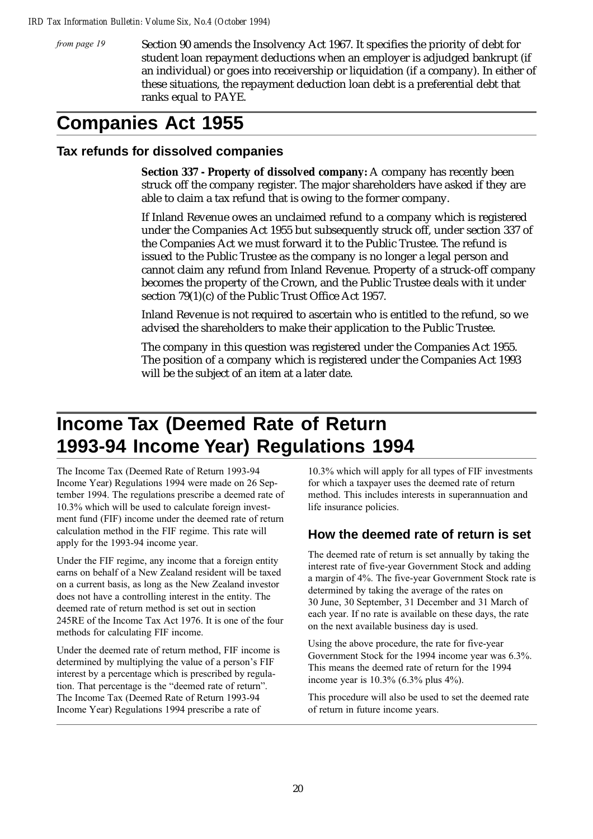from page 19

Section 90 amends the Insolvency Act 1967. It specifies the priority of debt for student loan repayment deductions when an employer is adjudged bankrupt (if an individual) or goes into receivership or liquidation (if a company). In either of these situations, the repayment deduction loan debt is a preferential debt that ranks equal to PAYE.

# **Companies Act 1955**

### **Tax refunds for dissolved companies**

**Section 337 - Property of dissolved company:** A company has recently been struck off the company register. The major shareholders have asked if they are able to claim a tax refund that is owing to the former company.

If Inland Revenue owes an unclaimed refund to a company which is registered under the Companies Act 1955 but subsequently struck off, under section 337 of the Companies Act we must forward it to the Public Trustee. The refund is issued to the Public Trustee as the company is no longer a legal person and cannot claim any refund from Inland Revenue. Property of a struck-off company becomes the property of the Crown, and the Public Trustee deals with it under section 79(1)(c) of the Public Trust Office Act 1957.

Inland Revenue is not required to ascertain who is entitled to the refund, so we advised the shareholders to make their application to the Public Trustee.

The company in this question was registered under the Companies Act 1955. The position of a company which is registered under the Companies Act 1993 will be the subject of an item at a later date.

# **Income Tax (Deemed Rate of Return 1993-94 Income Year) Regulations 1994**

The Income Tax (Deemed Rate of Return 1993-94 Income Year) Regulations 1994 were made on 26 September 1994. The regulations prescribe a deemed rate of 10.3% which will be used to calculate foreign investment fund (FIF) income under the deemed rate of return calculation method in the FIF regime. This rate will apply for the 1993-94 income year.

Under the FIF regime, any income that a foreign entity earns on behalf of a New Zealand resident will be taxed on a current basis, as long as the New Zealand investor does not have a controlling interest in the entity. The deemed rate of return method is set out in section 245RE of the Income Tax Act 1976. It is one of the four methods for calculating FIF income.

Under the deemed rate of return method, FIF income is determined by multiplying the value of a person's FIF interest by a percentage which is prescribed by regulation. That percentage is the "deemed rate of return". The Income Tax (Deemed Rate of Return 1993-94 Income Year) Regulations 1994 prescribe a rate of

10.3% which will apply for all types of FIF investments for which a taxpayer uses the deemed rate of return method. This includes interests in superannuation and life insurance policies.

## **How the deemed rate of return is set**

The deemed rate of return is set annually by taking the interest rate of five-year Government Stock and adding a margin of 4%. The five-year Government Stock rate is determined by taking the average of the rates on 30 June, 30 September, 31 December and 31 March of each year. If no rate is available on these days, the rate on the next available business day is used.

Using the above procedure, the rate for five-year Government Stock for the 1994 income year was 6.3%. This means the deemed rate of return for the 1994 income year is 10.3% (6.3% plus 4%).

This procedure will also be used to set the deemed rate of return in future income years.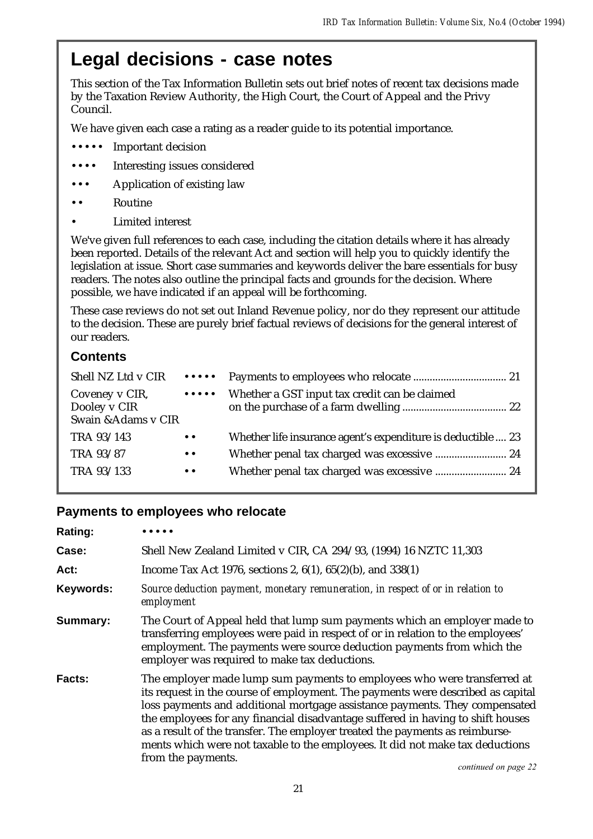# **Legal decisions - case notes**

This section of the Tax Information Bulletin sets out brief notes of recent tax decisions made by the Taxation Review Authority, the High Court, the Court of Appeal and the Privy Council.

We have given each case a rating as a reader guide to its potential importance.

- ••••• Important decision
- Interesting issues considered
- Application of existing law
- •• Routine
- Limited interest

We've given full references to each case, including the citation details where it has already been reported. Details of the relevant Act and section will help you to quickly identify the legislation at issue. Short case summaries and keywords deliver the bare essentials for busy readers. The notes also outline the principal facts and grounds for the decision. Where possible, we have indicated if an appeal will be forthcoming.

These case reviews do not set out Inland Revenue policy, nor do they represent our attitude to the decision. These are purely brief factual reviews of decisions for the general interest of our readers.

# **Contents**

| Shell NZ Ltd v CIR                                    |                                                       |                                                              |
|-------------------------------------------------------|-------------------------------------------------------|--------------------------------------------------------------|
| Coveney v CIR,<br>Dooley v CIR<br>Swain & Adams v CIR | $\bullet\bullet\bullet\bullet\bullet$                 | Whether a GST input tax credit can be claimed                |
| TRA 93/143                                            | $\bullet\hspace{0.1cm} \bullet\hspace{0.1cm} \bullet$ | Whether life insurance agent's expenditure is deductible  23 |
| TRA 93/87                                             | $\bullet\hspace{0.1cm} \bullet\hspace{0.1cm} \bullet$ | Whether penal tax charged was excessive  24                  |
| TRA 93/133                                            | $\bullet\hspace{0.1cm} \bullet\hspace{0.1cm}$         |                                                              |

### **Payments to employees who relocate**

| <b>Rating:</b> |                                                                                                                                                                                                                                                                                                                                                                                                                                                                                                                                              |
|----------------|----------------------------------------------------------------------------------------------------------------------------------------------------------------------------------------------------------------------------------------------------------------------------------------------------------------------------------------------------------------------------------------------------------------------------------------------------------------------------------------------------------------------------------------------|
| Case:          | Shell New Zealand Limited v CIR, CA 294/93, (1994) 16 NZTC 11,303                                                                                                                                                                                                                                                                                                                                                                                                                                                                            |
| Act:           | Income Tax Act 1976, sections 2, $6(1)$ , $65(2)(b)$ , and $338(1)$                                                                                                                                                                                                                                                                                                                                                                                                                                                                          |
| Keywords:      | Source deduction payment, monetary remuneration, in respect of or in relation to<br>employment                                                                                                                                                                                                                                                                                                                                                                                                                                               |
| Summary:       | The Court of Appeal held that lump sum payments which an employer made to<br>transferring employees were paid in respect of or in relation to the employees'<br>employment. The payments were source deduction payments from which the<br>employer was required to make tax deductions.                                                                                                                                                                                                                                                      |
| <b>Facts:</b>  | The employer made lump sum payments to employees who were transferred at<br>its request in the course of employment. The payments were described as capital<br>loss payments and additional mortgage assistance payments. They compensated<br>the employees for any financial disadvantage suffered in having to shift houses<br>as a result of the transfer. The employer treated the payments as reimburse-<br>ments which were not taxable to the employees. It did not make tax deductions<br>from the payments.<br>continued on page 22 |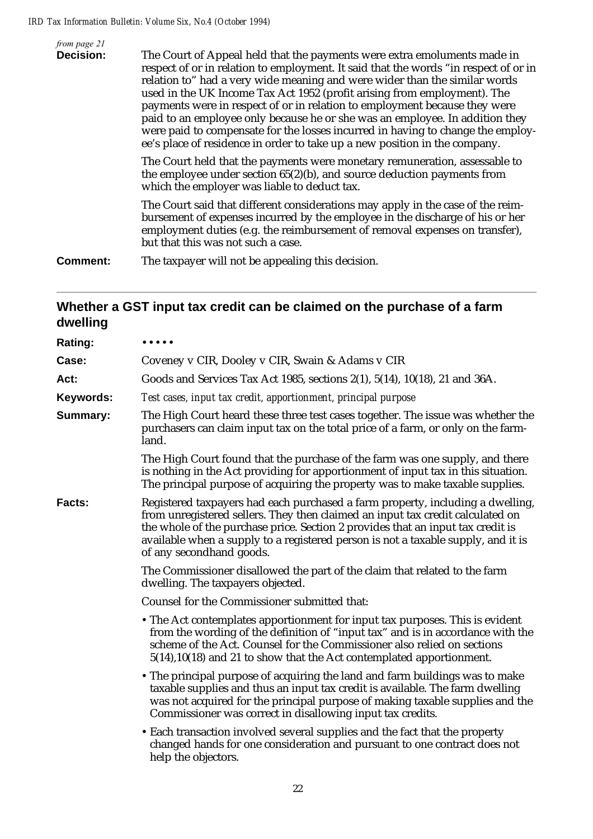| from page 21<br><b>Decision:</b> | The Court of Appeal held that the payments were extra emoluments made in<br>respect of or in relation to employment. It said that the words "in respect of or in<br>relation to" had a very wide meaning and were wider than the similar words<br>used in the UK Income Tax Act 1952 (profit arising from employment). The<br>payments were in respect of or in relation to employment because they were<br>paid to an employee only because he or she was an employee. In addition they<br>were paid to compensate for the losses incurred in having to change the employ-<br>ee's place of residence in order to take up a new position in the company. |
|----------------------------------|-----------------------------------------------------------------------------------------------------------------------------------------------------------------------------------------------------------------------------------------------------------------------------------------------------------------------------------------------------------------------------------------------------------------------------------------------------------------------------------------------------------------------------------------------------------------------------------------------------------------------------------------------------------|
|                                  | The Court held that the payments were monetary remuneration, assessable to<br>the employee under section $65(2)(b)$ , and source deduction payments from<br>which the employer was liable to deduct tax.                                                                                                                                                                                                                                                                                                                                                                                                                                                  |
|                                  | The Court said that different considerations may apply in the case of the reim-<br>bursement of expenses incurred by the employee in the discharge of his or her<br>employment duties (e.g. the reimbursement of removal expenses on transfer),<br>but that this was not such a case.                                                                                                                                                                                                                                                                                                                                                                     |
| Comment:                         | The taxpayer will not be appealing this decision.                                                                                                                                                                                                                                                                                                                                                                                                                                                                                                                                                                                                         |

# **Whether a GST input tax credit can be claimed on the purchase of a farm dwelling**

| Rating:   | .                                                                                                                                                                                                                                                                                                                                                                    |
|-----------|----------------------------------------------------------------------------------------------------------------------------------------------------------------------------------------------------------------------------------------------------------------------------------------------------------------------------------------------------------------------|
| Case:     | Coveney v CIR, Dooley v CIR, Swain & Adams v CIR                                                                                                                                                                                                                                                                                                                     |
| Act:      | Goods and Services Tax Act 1985, sections 2(1), 5(14), 10(18), 21 and 36A.                                                                                                                                                                                                                                                                                           |
| Keywords: | Test cases, input tax credit, apportionment, principal purpose                                                                                                                                                                                                                                                                                                       |
| Summary:  | The High Court heard these three test cases together. The issue was whether the<br>purchasers can claim input tax on the total price of a farm, or only on the farm-<br>land.                                                                                                                                                                                        |
|           | The High Court found that the purchase of the farm was one supply, and there<br>is nothing in the Act providing for apportionment of input tax in this situation.<br>The principal purpose of acquiring the property was to make taxable supplies.                                                                                                                   |
| Facts:    | Registered taxpayers had each purchased a farm property, including a dwelling,<br>from unregistered sellers. They then claimed an input tax credit calculated on<br>the whole of the purchase price. Section 2 provides that an input tax credit is<br>available when a supply to a registered person is not a taxable supply, and it is<br>of any secondhand goods. |
|           | The Commissioner disallowed the part of the claim that related to the farm<br>dwelling. The taxpayers objected.                                                                                                                                                                                                                                                      |
|           | Counsel for the Commissioner submitted that:                                                                                                                                                                                                                                                                                                                         |
|           | • The Act contemplates apportionment for input tax purposes. This is evident<br>from the wording of the definition of "input tax" and is in accordance with the<br>scheme of the Act. Counsel for the Commissioner also relied on sections<br>5(14), 10(18) and 21 to show that the Act contemplated apportionment.                                                  |
|           | • The principal purpose of acquiring the land and farm buildings was to make<br>taxable supplies and thus an input tax credit is available. The farm dwelling<br>was not acquired for the principal purpose of making taxable supplies and the<br>Commissioner was correct in disallowing input tax credits.                                                         |
|           | • Each transaction involved several supplies and the fact that the property<br>changed hands for one consideration and pursuant to one contract does not<br>help the objectors.                                                                                                                                                                                      |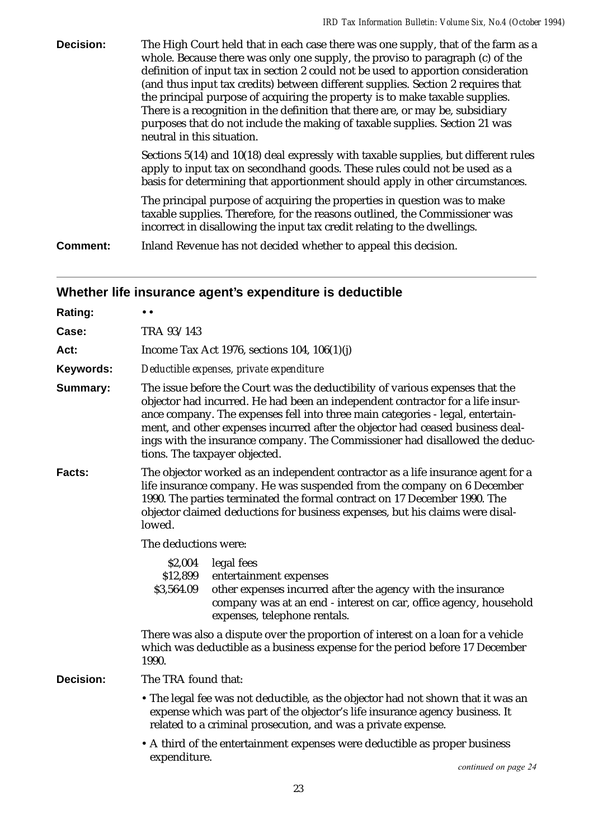| <b>Decision:</b> | The High Court held that in each case there was one supply, that of the farm as a<br>whole. Because there was only one supply, the proviso to paragraph (c) of the<br>definition of input tax in section 2 could not be used to apportion consideration<br>(and thus input tax credits) between different supplies. Section 2 requires that<br>the principal purpose of acquiring the property is to make taxable supplies.<br>There is a recognition in the definition that there are, or may be, subsidiary<br>purposes that do not include the making of taxable supplies. Section 21 was<br>neutral in this situation. |
|------------------|----------------------------------------------------------------------------------------------------------------------------------------------------------------------------------------------------------------------------------------------------------------------------------------------------------------------------------------------------------------------------------------------------------------------------------------------------------------------------------------------------------------------------------------------------------------------------------------------------------------------------|
|                  | Sections 5(14) and 10(18) deal expressly with taxable supplies, but different rules<br>apply to input tax on secondhand goods. These rules could not be used as a<br>basis for determining that apportionment should apply in other circumstances.                                                                                                                                                                                                                                                                                                                                                                         |
|                  | The principal purpose of acquiring the properties in question was to make<br>taxable supplies. Therefore, for the reasons outlined, the Commissioner was<br>incorrect in disallowing the input tax credit relating to the dwellings.                                                                                                                                                                                                                                                                                                                                                                                       |
| Comment:         | Inland Revenue has not decided whether to appeal this decision.                                                                                                                                                                                                                                                                                                                                                                                                                                                                                                                                                            |

# **Whether life insurance agent's expenditure is deductible**

| Rating:          | $\bullet$ $\bullet$                                                                                                                                                                                                                                                                                                                                                                                                                                 |  |  |
|------------------|-----------------------------------------------------------------------------------------------------------------------------------------------------------------------------------------------------------------------------------------------------------------------------------------------------------------------------------------------------------------------------------------------------------------------------------------------------|--|--|
| Case:            | TRA 93/143                                                                                                                                                                                                                                                                                                                                                                                                                                          |  |  |
| Act:             | Income Tax Act 1976, sections 104, $106(1)(i)$                                                                                                                                                                                                                                                                                                                                                                                                      |  |  |
| Keywords:        | Deductible expenses, private expenditure                                                                                                                                                                                                                                                                                                                                                                                                            |  |  |
| Summary:         | The issue before the Court was the deductibility of various expenses that the<br>objector had incurred. He had been an independent contractor for a life insur-<br>ance company. The expenses fell into three main categories - legal, entertain-<br>ment, and other expenses incurred after the objector had ceased business deal-<br>ings with the insurance company. The Commissioner had disallowed the deduc-<br>tions. The taxpayer objected. |  |  |
| Facts:           | The objector worked as an independent contractor as a life insurance agent for a<br>life insurance company. He was suspended from the company on 6 December<br>1990. The parties terminated the formal contract on 17 December 1990. The<br>objector claimed deductions for business expenses, but his claims were disal-<br>lowed.                                                                                                                 |  |  |
|                  | The deductions were:                                                                                                                                                                                                                                                                                                                                                                                                                                |  |  |
|                  | \$2,004<br>legal fees<br>\$12,899<br>entertainment expenses<br>\$3,564.09<br>other expenses incurred after the agency with the insurance<br>company was at an end - interest on car, office agency, household<br>expenses, telephone rentals.                                                                                                                                                                                                       |  |  |
|                  | There was also a dispute over the proportion of interest on a loan for a vehicle<br>which was deductible as a business expense for the period before 17 December<br>1990.                                                                                                                                                                                                                                                                           |  |  |
| <b>Decision:</b> | The TRA found that:                                                                                                                                                                                                                                                                                                                                                                                                                                 |  |  |
|                  | • The legal fee was not deductible, as the objector had not shown that it was an<br>expense which was part of the objector's life insurance agency business. It<br>related to a criminal prosecution, and was a private expense.                                                                                                                                                                                                                    |  |  |
|                  | • A third of the entertainment expenses were deductible as proper business<br>expenditure.                                                                                                                                                                                                                                                                                                                                                          |  |  |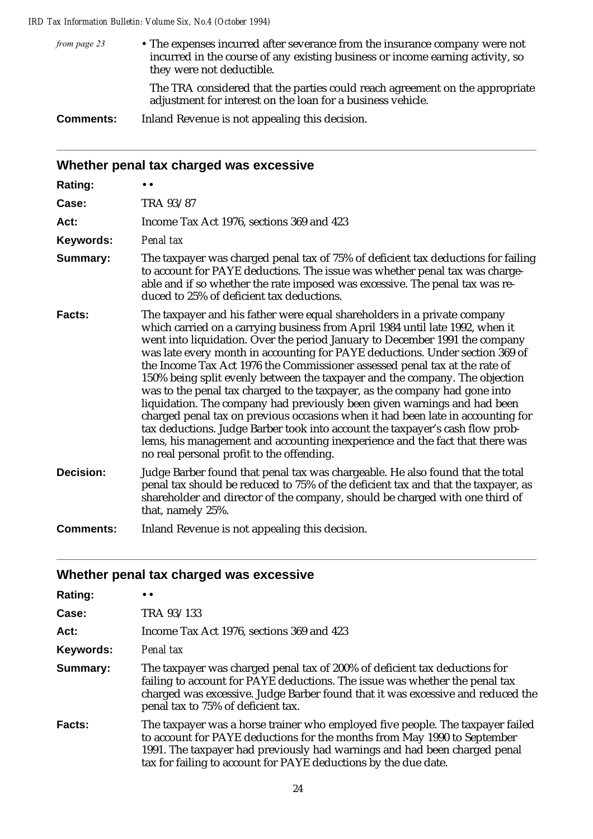• The expenses incurred after severance from the insurance company were not incurred in the course of any existing business or income earning activity, so they were not deductible. from page 23

> The TRA considered that the parties could reach agreement on the appropriate adjustment for interest on the loan for a business vehicle.

**Comments:** Inland Revenue is not appealing this decision.

| Whether penal tax charged was excessive |                                                                                                                                                                                                                                                                                                                                                                                                                                                                                                                                                                                                                                                                                                                                                                                                                                                                                                                                                  |  |  |
|-----------------------------------------|--------------------------------------------------------------------------------------------------------------------------------------------------------------------------------------------------------------------------------------------------------------------------------------------------------------------------------------------------------------------------------------------------------------------------------------------------------------------------------------------------------------------------------------------------------------------------------------------------------------------------------------------------------------------------------------------------------------------------------------------------------------------------------------------------------------------------------------------------------------------------------------------------------------------------------------------------|--|--|
| <b>Rating:</b>                          |                                                                                                                                                                                                                                                                                                                                                                                                                                                                                                                                                                                                                                                                                                                                                                                                                                                                                                                                                  |  |  |
| Case:                                   | TRA 93/87                                                                                                                                                                                                                                                                                                                                                                                                                                                                                                                                                                                                                                                                                                                                                                                                                                                                                                                                        |  |  |
| Act:                                    | Income Tax Act 1976, sections 369 and 423                                                                                                                                                                                                                                                                                                                                                                                                                                                                                                                                                                                                                                                                                                                                                                                                                                                                                                        |  |  |
| Keywords:                               | Penal tax                                                                                                                                                                                                                                                                                                                                                                                                                                                                                                                                                                                                                                                                                                                                                                                                                                                                                                                                        |  |  |
| Summary:                                | The taxpayer was charged penal tax of 75% of deficient tax deductions for failing<br>to account for PAYE deductions. The issue was whether penal tax was charge-<br>able and if so whether the rate imposed was excessive. The penal tax was re-<br>duced to 25% of deficient tax deductions.                                                                                                                                                                                                                                                                                                                                                                                                                                                                                                                                                                                                                                                    |  |  |
| Facts:                                  | The taxpayer and his father were equal shareholders in a private company<br>which carried on a carrying business from April 1984 until late 1992, when it<br>went into liquidation. Over the period January to December 1991 the company<br>was late every month in accounting for PAYE deductions. Under section 369 of<br>the Income Tax Act 1976 the Commissioner assessed penal tax at the rate of<br>150% being split evenly between the taxpayer and the company. The objection<br>was to the penal tax charged to the taxpayer, as the company had gone into<br>liquidation. The company had previously been given warnings and had been<br>charged penal tax on previous occasions when it had been late in accounting for<br>tax deductions. Judge Barber took into account the taxpayer's cash flow prob-<br>lems, his management and accounting inexperience and the fact that there was<br>no real personal profit to the offending. |  |  |
| <b>Decision:</b>                        | Judge Barber found that penal tax was chargeable. He also found that the total<br>penal tax should be reduced to 75% of the deficient tax and that the taxpayer, as<br>shareholder and director of the company, should be charged with one third of<br>that, namely 25%.                                                                                                                                                                                                                                                                                                                                                                                                                                                                                                                                                                                                                                                                         |  |  |
| <b>Comments:</b>                        | Inland Revenue is not appealing this decision.                                                                                                                                                                                                                                                                                                                                                                                                                                                                                                                                                                                                                                                                                                                                                                                                                                                                                                   |  |  |

## **Whether penal tax charged was excessive**

| <b>Rating:</b> |                                                                                                                                                                                                                                                                                                            |
|----------------|------------------------------------------------------------------------------------------------------------------------------------------------------------------------------------------------------------------------------------------------------------------------------------------------------------|
| Case:          | TRA 93/133                                                                                                                                                                                                                                                                                                 |
| Act:           | Income Tax Act 1976, sections 369 and 423                                                                                                                                                                                                                                                                  |
| Keywords:      | Penal tax                                                                                                                                                                                                                                                                                                  |
| Summary:       | The taxpayer was charged penal tax of 200% of deficient tax deductions for<br>failing to account for PAYE deductions. The issue was whether the penal tax<br>charged was excessive. Judge Barber found that it was excessive and reduced the<br>penal tax to 75% of deficient tax.                         |
| <b>Facts:</b>  | The taxpayer was a horse trainer who employed five people. The taxpayer failed<br>to account for PAYE deductions for the months from May 1990 to September<br>1991. The taxpayer had previously had warnings and had been charged penal<br>tax for failing to account for PAYE deductions by the due date. |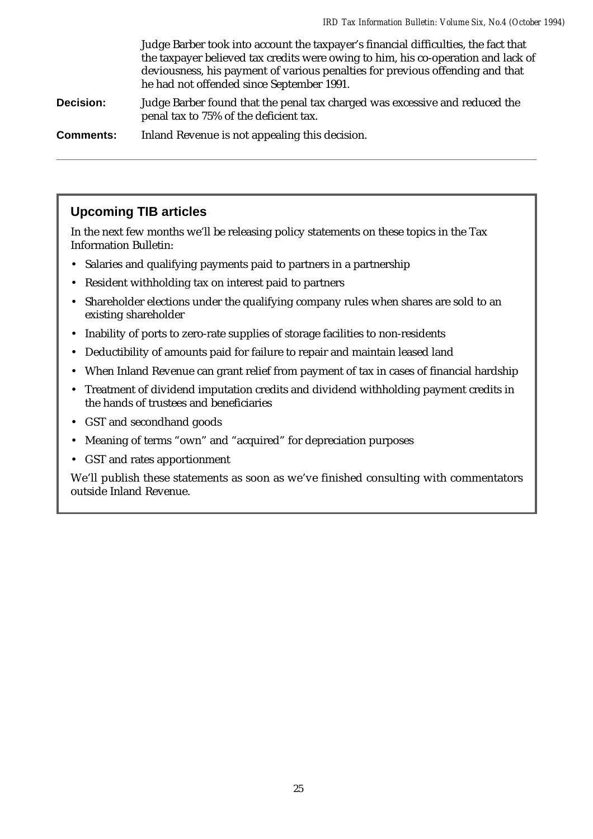Judge Barber took into account the taxpayer's financial difficulties, the fact that the taxpayer believed tax credits were owing to him, his co-operation and lack of deviousness, his payment of various penalties for previous offending and that he had not offended since September 1991.

**Decision:** Judge Barber found that the penal tax charged was excessive and reduced the penal tax to 75% of the deficient tax.

**Comments:** Inland Revenue is not appealing this decision.

### **Upcoming TIB articles**

In the next few months we'll be releasing policy statements on these topics in the Tax Information Bulletin:

- Salaries and qualifying payments paid to partners in a partnership
- Resident withholding tax on interest paid to partners
- Shareholder elections under the qualifying company rules when shares are sold to an existing shareholder
- Inability of ports to zero-rate supplies of storage facilities to non-residents
- Deductibility of amounts paid for failure to repair and maintain leased land
- When Inland Revenue can grant relief from payment of tax in cases of financial hardship
- Treatment of dividend imputation credits and dividend withholding payment credits in the hands of trustees and beneficiaries
- GST and secondhand goods
- Meaning of terms "own" and "acquired" for depreciation purposes
- GST and rates apportionment

We'll publish these statements as soon as we've finished consulting with commentators outside Inland Revenue.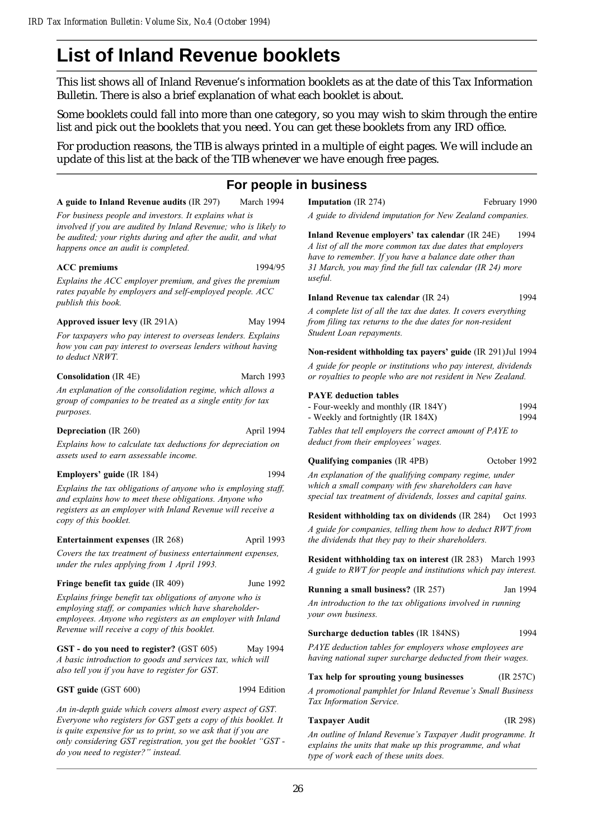# **List of Inland Revenue booklets**

This list shows all of Inland Revenue's information booklets as at the date of this Tax Information Bulletin. There is also a brief explanation of what each booklet is about.

Some booklets could fall into more than one category, so you may wish to skim through the entire list and pick out the booklets that you need. You can get these booklets from any IRD office.

For production reasons, the TIB is always printed in a multiple of eight pages. We will include an update of this list at the back of the TIB whenever we have enough free pages.

### **For people in business**

A guide to Inland Revenue audits (IR 297) March 1994

For business people and investors. It explains what is

involved if you are audited by Inland Revenue; who is likely to be audited; your rights during and after the audit, and what happens once an audit is completed.

#### ACC premiums 1994/95

Explains the ACC employer premium, and gives the premium rates payable by employers and self-employed people. ACC publish this book.

#### Approved issuer levy (IR 291A) May 1994

For taxpayers who pay interest to overseas lenders. Explains how you can pay interest to overseas lenders without having to deduct NRWT.

#### Consolidation (IR 4E) March 1993

An explanation of the consolidation regime, which allows a group of companies to be treated as a single entity for tax purposes.

#### Depreciation (IR 260) April 1994

Explains how to calculate tax deductions for depreciation on assets used to earn assessable income.

#### Employers' guide (IR 184) 1994

Explains the tax obligations of anyone who is employing staff, and explains how to meet these obligations. Anyone who registers as an employer with Inland Revenue will receive a copy of this booklet.

#### Entertainment expenses (IR 268) April 1993

Covers the tax treatment of business entertainment expenses, under the rules applying from 1 April 1993.

#### Fringe benefit tax guide (IR 409) June 1992

Explains fringe benefit tax obligations of anyone who is employing staff, or companies which have shareholderemployees. Anyone who registers as an employer with Inland Revenue will receive a copy of this booklet.

GST - do you need to register? (GST 605) May 1994 A basic introduction to goods and services tax, which will also tell you if you have to register for GST.

#### GST guide (GST 600) 1994 Edition

An in-depth guide which covers almost every aspect of GST. Everyone who registers for GST gets a copy of this booklet. It is quite expensive for us to print, so we ask that if you are only considering GST registration, you get the booklet "GST do you need to register?" instead.

**Imputation** (IR 274) February 1990

A guide to dividend imputation for New Zealand companies.

Inland Revenue employers' tax calendar (IR 24E) 1994 A list of all the more common tax due dates that employers have to remember. If you have a balance date other than 31 March, you may find the full tax calendar (IR 24) more useful.

#### Inland Revenue tax calendar (IR 24) 1994

A complete list of all the tax due dates. It covers everything from filing tax returns to the due dates for non-resident Student Loan repayments.

#### Non-resident withholding tax payers' guide (IR 291)Jul 1994

A guide for people or institutions who pay interest, dividends or royalties to people who are not resident in New Zealand.

#### PAYE deduction tables

| - Four-weekly and monthly (IR 184Y) | 1994 |
|-------------------------------------|------|
| - Weekly and fortnightly (IR 184X)  | 1994 |

Tables that tell employers the correct amount of PAYE to deduct from their employees' wages.

#### Qualifying companies (IR 4PB) October 1992

An explanation of the qualifying company regime, under which a small company with few shareholders can have special tax treatment of dividends, losses and capital gains.

Resident withholding tax on dividends (IR 284) Oct 1993

A guide for companies, telling them how to deduct RWT from the dividends that they pay to their shareholders.

Resident withholding tax on interest (IR 283) March 1993 A guide to RWT for people and institutions which pay interest.

#### Running a small business? (IR 257) Jan 1994

An introduction to the tax obligations involved in running your own business.

#### Surcharge deduction tables (IR 184NS) 1994

PAYE deduction tables for employers whose employees are having national super surcharge deducted from their wages.

#### Tax help for sprouting young businesses (IR 257C)

A promotional pamphlet for Inland Revenue's Small Business Tax Information Service.

#### Taxpayer Audit (IR 298)

An outline of Inland Revenue's Taxpayer Audit programme. It explains the units that make up this programme, and what type of work each of these units does.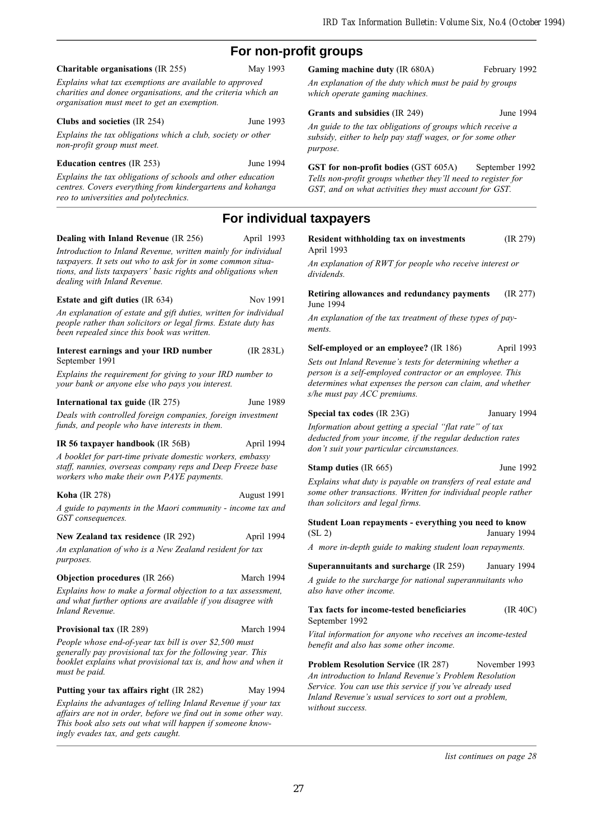## **For non-profit groups**

#### Charitable organisations (IR 255) May 1993

Explains what tax exemptions are available to approved charities and donee organisations, and the criteria which an organisation must meet to get an exemption.

#### Clubs and societies (IR 254) June 1993

Explains the tax obligations which a club, society or other non-profit group must meet.

#### Education centres (IR 253) June 1994

Explains the tax obligations of schools and other education centres. Covers everything from kindergartens and kohanga reo to universities and polytechnics.

#### Dealing with Inland Revenue (IR 256) April 1993

Introduction to Inland Revenue, written mainly for individual taxpayers. It sets out who to ask for in some common situations, and lists taxpayers' basic rights and obligations when dealing with Inland Revenue.

#### Estate and gift duties (IR 634) Nov 1991

An explanation of estate and gift duties, written for individual people rather than solicitors or legal firms. Estate duty has been repealed since this book was written.

#### Interest earnings and your IRD number (IR 283L) September 1991

Explains the requirement for giving to your IRD number to your bank or anyone else who pays you interest.

#### International tax guide (IR 275) June 1989

Deals with controlled foreign companies, foreign investment funds, and people who have interests in them.

#### IR 56 taxpayer handbook (IR 56B) April 1994

A booklet for part-time private domestic workers, embassy staff, nannies, overseas company reps and Deep Freeze base workers who make their own PAYE payments.

#### Koha (IR 278) August 1991

A guide to payments in the Maori community - income tax and GST consequences.

# New Zealand tax residence (IR 292) April 1994

An explanation of who is a New Zealand resident for tax purposes.

#### **Objection procedures** (IR 266) March 1994

Explains how to make a formal objection to a tax assessment, and what further options are available if you disagree with Inland Revenue.

#### Provisional tax (IR 289) March 1994

People whose end-of-year tax bill is over \$2,500 must generally pay provisional tax for the following year. This booklet explains what provisional tax is, and how and when it must be paid.

#### Putting your tax affairs right (IR 282) May 1994

Explains the advantages of telling Inland Revenue if your tax affairs are not in order, before we find out in some other way. This book also sets out what will happen if someone knowingly evades tax, and gets caught.

#### Gaming machine duty (IR 680A) February 1992

An explanation of the duty which must be paid by groups which operate gaming machines.

#### Grants and subsidies (IR 249) June 1994

An guide to the tax obligations of groups which receive a subsidy, either to help pay staff wages, or for some other purpose.

GST for non-profit bodies (GST 605A) September 1992 Tells non-profit groups whether they'll need to register for GST, and on what activities they must account for GST.

### **For individual taxpayers**

| Resident withholding tax on investments | (IR 279) |
|-----------------------------------------|----------|
| April 1993                              |          |

An explanation of RWT for people who receive interest or dividends.

Retiring allowances and redundancy payments (IR 277) June 1994

An explanation of the tax treatment of these types of payments.

Self-employed or an employee? (IR 186) April 1993

Sets out Inland Revenue's tests for determining whether a person is a self-employed contractor or an employee. This determines what expenses the person can claim, and whether s/he must pay ACC premiums.

#### Special tax codes (IR 23G) January 1994

Information about getting a special "flat rate" of tax deducted from your income, if the regular deduction rates don't suit your particular circumstances.

#### Stamp duties (IR 665) June 1992

Explains what duty is payable on transfers of real estate and some other transactions. Written for individual people rather than solicitors and legal firms.

Student Loan repayments - everything you need to know (SL 2) January 1994

A more in-depth guide to making student loan repayments.

#### Superannuitants and surcharge (IR 259) January 1994

A guide to the surcharge for national superannuitants who also have other income.

#### Tax facts for income-tested beneficiaries (IR 40C) September 1992

Vital information for anyone who receives an income-tested benefit and also has some other income.

**Problem Resolution Service (IR 287)** November 1993 An introduction to Inland Revenue's Problem Resolution Service. You can use this service if you've already used Inland Revenue's usual services to sort out a problem, without success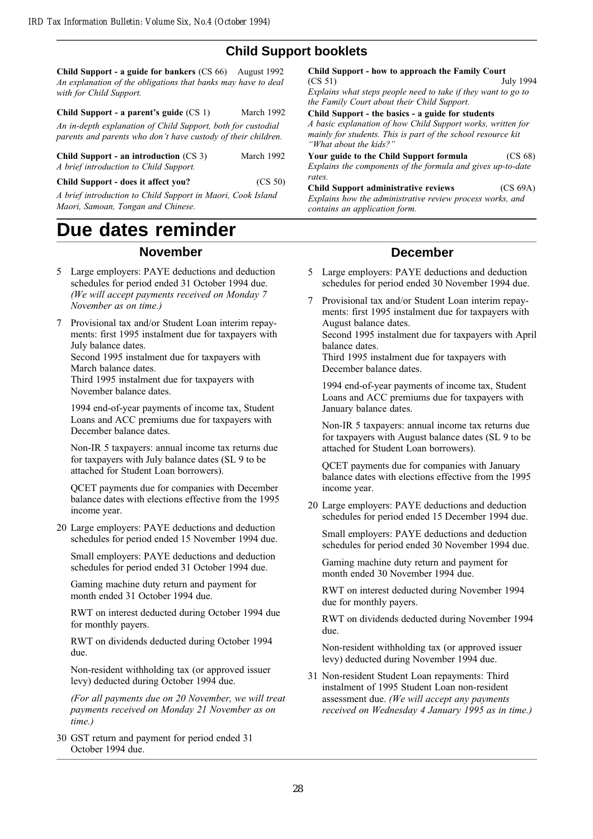## **Child Support booklets**

Child Support - a guide for bankers (CS 66) August 1992 An explanation of the obligations that banks may have to deal with for Child Support.

#### Child Support - a parent's guide (CS 1) March 1992

An in-depth explanation of Child Support, both for custodial parents and parents who don't have custody of their children.

| Child Support - an introduction $(CS_3)$ | March 1992 |
|------------------------------------------|------------|
| A brief introduction to Child Support.   |            |

Child Support - does it affect you? (CS 50)

A brief introduction to Child Support in Maori, Cook Island Maori, Samoan, Tongan and Chinese.

# **Due dates reminder**

### **November**

- 5 Large employers: PAYE deductions and deduction schedules for period ended 31 October 1994 due. (We will accept payments received on Monday 7 November as on time.)
- 7 Provisional tax and/or Student Loan interim repayments: first 1995 instalment due for taxpayers with July balance dates.

Second 1995 instalment due for taxpayers with March balance dates.

Third 1995 instalment due for taxpayers with November balance dates.

1994 end-of-year payments of income tax, Student Loans and ACC premiums due for taxpayers with December balance dates.

Non-IR 5 taxpayers: annual income tax returns due for taxpayers with July balance dates (SL 9 to be attached for Student Loan borrowers).

QCET payments due for companies with December balance dates with elections effective from the 1995 income year.

20 Large employers: PAYE deductions and deduction schedules for period ended 15 November 1994 due.

Small employers: PAYE deductions and deduction schedules for period ended 31 October 1994 due.

Gaming machine duty return and payment for month ended 31 October 1994 due.

RWT on interest deducted during October 1994 due for monthly payers.

RWT on dividends deducted during October 1994 due.

Non-resident withholding tax (or approved issuer levy) deducted during October 1994 due.

(For all payments due on 20 November, we will treat payments received on Monday 21 November as on time.)

30 GST return and payment for period ended 31 October 1994 due.

Child Support - how to approach the Family Court  $(CS 51)$ July 1994 Explains what steps people need to take if they want to go to the Family Court about their Child Support. Child Support - the basics - a guide for students

A basic explanation of how Child Support works, written for mainly for students. This is part of the school resource kit "What about the kids?"

Your guide to the Child Support formula (CS 68) Explains the components of the formula and gives up-to-date rates.

Child Support administrative reviews (CS 69A) Explains how the administrative review process works, and contains an application form.

### **December**

- 5 Large employers: PAYE deductions and deduction schedules for period ended 30 November 1994 due.
- 7 Provisional tax and/or Student Loan interim repayments: first 1995 instalment due for taxpayers with August balance dates.

Second 1995 instalment due for taxpayers with April balance dates.

Third 1995 instalment due for taxpayers with December balance dates.

1994 end-of-year payments of income tax, Student Loans and ACC premiums due for taxpayers with January balance dates.

Non-IR 5 taxpayers: annual income tax returns due for taxpayers with August balance dates (SL 9 to be attached for Student Loan borrowers).

QCET payments due for companies with January balance dates with elections effective from the 1995 income year.

20 Large employers: PAYE deductions and deduction schedules for period ended 15 December 1994 due.

Small employers: PAYE deductions and deduction schedules for period ended 30 November 1994 due.

Gaming machine duty return and payment for month ended 30 November 1994 due.

RWT on interest deducted during November 1994 due for monthly payers.

RWT on dividends deducted during November 1994 due.

Non-resident withholding tax (or approved issuer levy) deducted during November 1994 due.

31 Non-resident Student Loan repayments: Third instalment of 1995 Student Loan non-resident assessment due. (We will accept any payments received on Wednesday 4 January 1995 as in time.)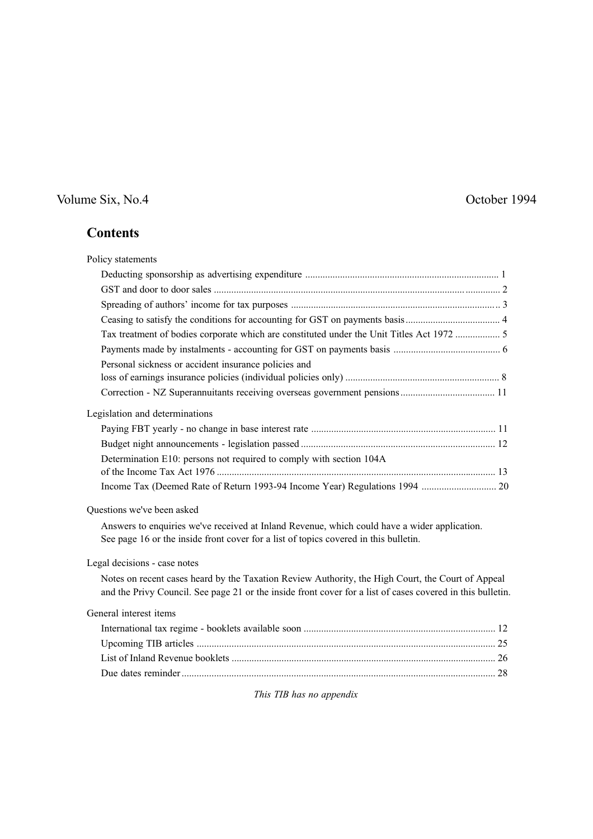# Volume Six, No.4 October 1994

# **Contents**

| Policy statements                                                                                                                                                                                               |
|-----------------------------------------------------------------------------------------------------------------------------------------------------------------------------------------------------------------|
|                                                                                                                                                                                                                 |
|                                                                                                                                                                                                                 |
|                                                                                                                                                                                                                 |
|                                                                                                                                                                                                                 |
| Tax treatment of bodies corporate which are constituted under the Unit Titles Act 1972  5                                                                                                                       |
|                                                                                                                                                                                                                 |
| Personal sickness or accident insurance policies and                                                                                                                                                            |
|                                                                                                                                                                                                                 |
|                                                                                                                                                                                                                 |
| Legislation and determinations                                                                                                                                                                                  |
|                                                                                                                                                                                                                 |
|                                                                                                                                                                                                                 |
| Determination E10: persons not required to comply with section 104A                                                                                                                                             |
|                                                                                                                                                                                                                 |
| Questions we've been asked                                                                                                                                                                                      |
| Answers to enquiries we've received at Inland Revenue, which could have a wider application.<br>See page 16 or the inside front cover for a list of topics covered in this bulletin.                            |
| Legal decisions - case notes                                                                                                                                                                                    |
| Notes on recent cases heard by the Taxation Review Authority, the High Court, the Court of Appeal<br>and the Privy Council. See page 21 or the inside front cover for a list of cases covered in this bulletin. |
| General interest items                                                                                                                                                                                          |
|                                                                                                                                                                                                                 |
|                                                                                                                                                                                                                 |
|                                                                                                                                                                                                                 |
|                                                                                                                                                                                                                 |

This TIB has no appendix